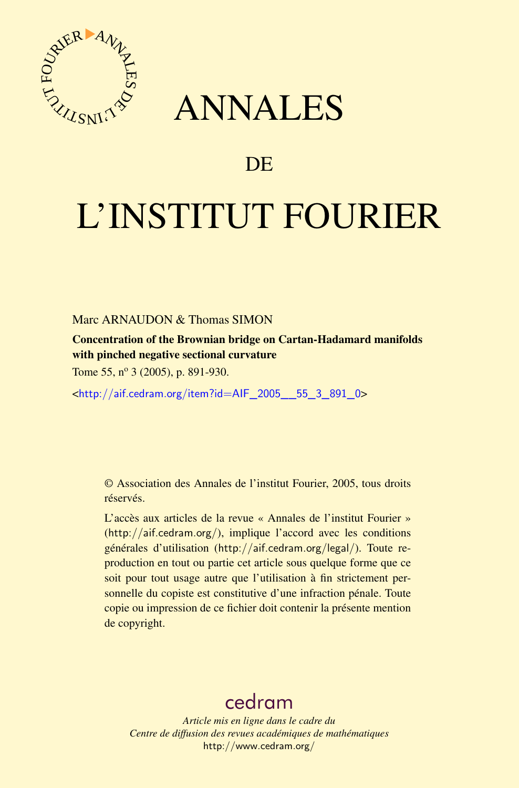



## DE

# L'INSTITUT FOURIER

Marc ARNAUDON & Thomas SIMON

Concentration of the Brownian bridge on Cartan-Hadamard manifolds with pinched negative sectional curvature

Tome 55, nº 3 (2005), p. 891-930.

<[http://aif.cedram.org/item?id=AIF\\_2005\\_\\_55\\_3\\_891\\_0](http://aif.cedram.org/item?id=AIF_2005__55_3_891_0)>

© Association des Annales de l'institut Fourier, 2005, tous droits réservés.

L'accès aux articles de la revue « Annales de l'institut Fourier » (<http://aif.cedram.org/>), implique l'accord avec les conditions générales d'utilisation (<http://aif.cedram.org/legal/>). Toute reproduction en tout ou partie cet article sous quelque forme que ce soit pour tout usage autre que l'utilisation à fin strictement personnelle du copiste est constitutive d'une infraction pénale. Toute copie ou impression de ce fichier doit contenir la présente mention de copyright.

## [cedram](http://www.cedram.org/)

*Article mis en ligne dans le cadre du Centre de diffusion des revues académiques de mathématiques* <http://www.cedram.org/>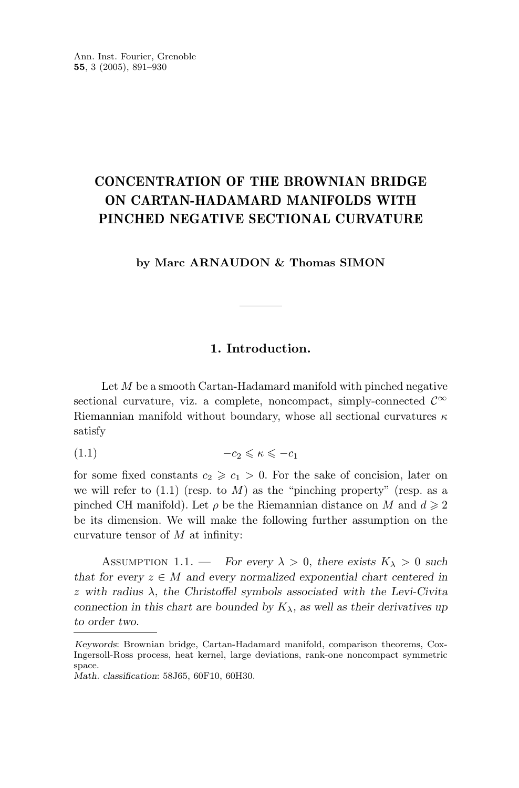### **CONCENTRATION OF THE BROWNIAN BRIDGE ON CARTAN-HADAMARD MANIFOLDS WITH PINCHED NEGATIVE SECTIONAL CURVATURE**

#### **by Marc ARNAUDON & Thomas SIMON**

#### **1. Introduction.**

Let *M* be a smooth Cartan-Hadamard manifold with pinched negative sectional curvature, viz. a complete, noncompact, simply-connected  $\mathcal{C}^{\infty}$ Riemannian manifold without boundary, whose all sectional curvatures *κ* satisfy

$$
(1.1) \t -c_2 \leqslant \kappa \leqslant -c_1
$$

for some fixed constants  $c_2 \geqslant c_1 > 0$ . For the sake of concision, later on we will refer to  $(1.1)$  (resp. to M) as the "pinching property" (resp. as a pinched CH manifold). Let  $\rho$  be the Riemannian distance on *M* and  $d \geq 2$ be its dimension. We will make the following further assumption on the curvature tensor of *M* at infinity:

ASSUMPTION 1.1. — *For every*  $\lambda > 0$ *, there exists*  $K_{\lambda} > 0$  *such that for every*  $z \in M$  *and every normalized exponential chart centered in z with radius λ, the Christoffel symbols associated with the Levi-Civita connection in this chart are bounded by*  $K_{\lambda}$ *, as well as their derivatives up to order two.*

*Keywords*: Brownian bridge, Cartan-Hadamard manifold, comparison theorems, Cox-Ingersoll-Ross process, heat kernel, large deviations, rank-one noncompact symmetric space.

*Math. classification*: 58J65, 60F10, 60H30.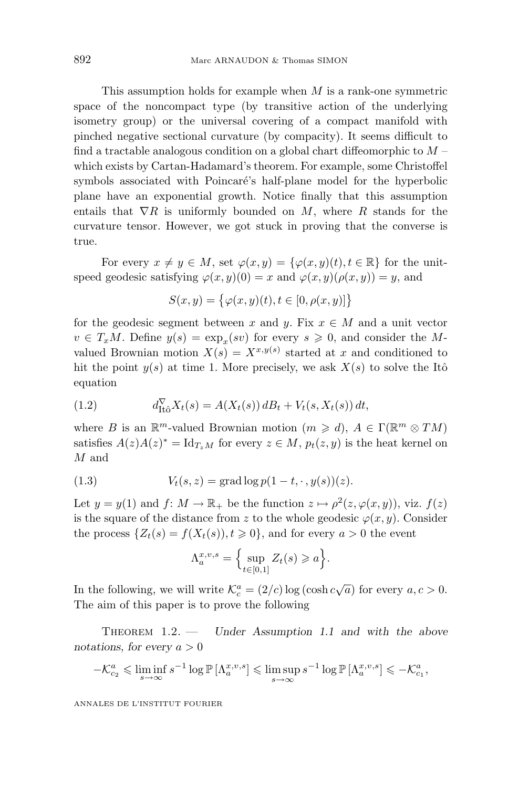This assumption holds for example when *M* is a rank-one symmetric space of the noncompact type (by transitive action of the underlying isometry group) or the universal covering of a compact manifold with pinched negative sectional curvature (by compacity). It seems difficult to find a tractable analogous condition on a global chart diffeomorphic to *M* – which exists by Cartan-Hadamard's theorem. For example, some Christoffel symbols associated with Poincaré's half-plane model for the hyperbolic plane have an exponential growth. Notice finally that this assumption entails that  $\nabla R$  is uniformly bounded on *M*, where *R* stands for the curvature tensor. However, we got stuck in proving that the converse is true.

For every  $x \neq y \in M$ , set  $\varphi(x, y) = {\varphi(x, y)(t), t \in \mathbb{R}}$  for the unitspeed geodesic satisfying  $\varphi(x, y)(0) = x$  and  $\varphi(x, y)(\rho(x, y)) = y$ , and

$$
S(x, y) = \{ \varphi(x, y)(t), t \in [0, \rho(x, y)] \}
$$

for the geodesic segment between *x* and *y*. Fix  $x \in M$  and a unit vector  $v \in T_xM$ . Define  $y(s) = \exp_x(sv)$  for every  $s \geq 0$ , and consider the *M*valued Brownian motion  $X(s) = X^{x,y(s)}$  started at *x* and conditioned to hit the point  $y(s)$  at time 1. More precisely, we ask  $X(s)$  to solve the Itô equation

(1.2) 
$$
d_{\text{It}\hat{o}}^{\nabla} X_t(s) = A(X_t(s)) dB_t + V_t(s, X_t(s)) dt,
$$

where *B* is an  $\mathbb{R}^m$ -valued Brownian motion  $(m \geq d)$ ,  $A \in \Gamma(\mathbb{R}^m \otimes TM)$ satisfies  $A(z)A(z)^* = \mathrm{Id}_{T_xM}$  for every  $z \in M$ ,  $p_t(z, y)$  is the heat kernel on *M* and

(1.3) 
$$
V_t(s, z) = \text{grad} \log p(1 - t, \cdot, y(s))(z).
$$

Let  $y = y(1)$  and  $f: M \to \mathbb{R}_+$  be the function  $z \mapsto \rho^2(z, \varphi(x, y))$ , viz.  $f(z)$ is the square of the distance from *z* to the whole geodesic  $\varphi(x, y)$ . Consider the process  $\{Z_t(s) = f(X_t(s)), t \geq 0\}$ , and for every  $a > 0$  the event

$$
\Lambda_a^{x,v,s} = \left\{ \sup_{t \in [0,1]} Z_t(s) \geqslant a \right\}.
$$

In the following, we will write  $\mathcal{K}_c^a = (2/c) \log(\cosh c \sqrt{a})$  for every  $a, c > 0$ . The aim of this paper is to prove the following

THEOREM  $1.2.$  — *Under Assumption 1.1 and with the above notations, for every a >* 0

$$
-\mathcal{K}_{c_2}^a \leq \liminf_{s \to \infty} s^{-1} \log \mathbb{P}\left[\Lambda_a^{x,v,s}\right] \leq \limsup_{s \to \infty} s^{-1} \log \mathbb{P}\left[\Lambda_a^{x,v,s}\right] \leqslant -\mathcal{K}_{c_1}^a,
$$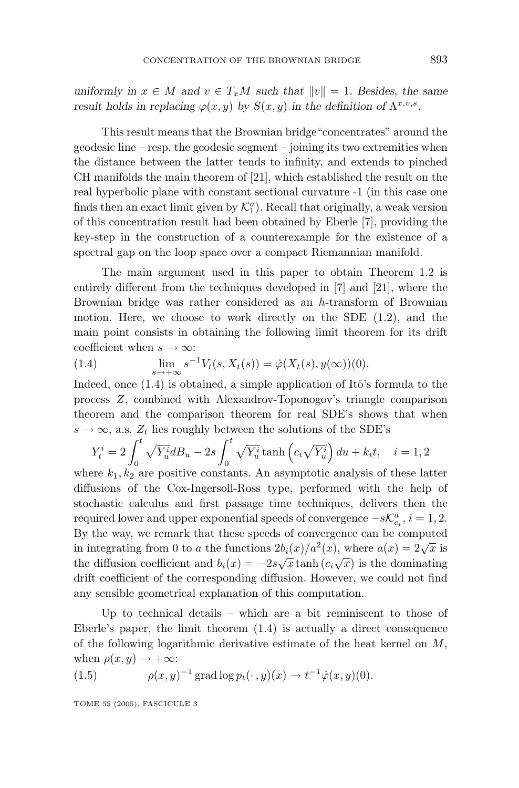*uniformly in*  $x \in M$  *and*  $v \in T_xM$  *such that*  $||v|| = 1$ *. Besides, the same result holds in replacing*  $\varphi(x, y)$  *by*  $S(x, y)$  *in the definition of*  $\Lambda^{x, v, s}$ *.* 

This result means that the Brownian bridge"concentrates" around the geodesic line – resp. the geodesic segment – joining its two extremities when the distance between the latter tends to infinity, and extends to pinched CH manifolds the main theorem of [21], which established the result on the real hyperbolic plane with constant sectional curvature -1(in this case one finds then an exact limit given by  $\mathcal{K}_1^a$ ). Recall that originally, a weak version of this concentration result had been obtained by Eberle [7], providing the key-step in the construction of a counterexample for the existence of a spectral gap on the loop space over a compact Riemannian manifold.

The main argument used in this paper to obtain Theorem 1.2 is entirely different from the techniques developed in [7] and [21], where the Brownian bridge was rather considered as an *h*-transform of Brownian motion. Here, we choose to work directly on the SDE (1.2), and the main point consists in obtaining the following limit theorem for its drift coefficient when  $s \to \infty$ :

(1.4) 
$$
\lim_{s \to +\infty} s^{-1} V_t(s, X_t(s)) = \dot{\varphi}(X_t(s), y(\infty))(0).
$$

Indeed, once  $(1.4)$  is obtained, a simple application of Itô's formula to the process *Z*, combined with Alexandrov-Toponogov's triangle comparison theorem and the comparison theorem for real SDE's shows that when  $s \rightarrow \infty$ , a.s.  $Z_t$  lies roughly between the solutions of the SDE's

$$
Y_t^i = 2 \int_0^t \sqrt{Y_u^i} dB_u - 2s \int_0^t \sqrt{Y_u^i} \tanh\left(c_i \sqrt{Y_u^i}\right) du + k_i t, \quad i = 1, 2
$$

where  $k_1, k_2$  are positive constants. An asymptotic analysis of these latter diffusions of the Cox-Ingersoll-Ross type, performed with the help of stochastic calculus and first passage time techniques, delivers then the required lower and upper exponential speeds of convergence  $-s\mathcal{K}_{c_i}^a$ ,  $i=1,2$ . By the way, we remark that these speeds of convergence can be computed in integrating from 0 to *a* the functions  $2b_i(x)/a^2(x)$ , where  $a(x)=2\sqrt{x}$  is the diffusion coefficient and  $b_i(x) = -2s\sqrt{x} \tanh(c_i\sqrt{x})$  is the dominating drift coefficient of the corresponding diffusion. However, we could not find any sensible geometrical explanation of this computation.

Up to technical details – which are a bit reminiscent to those of Eberle's paper, the limit theorem (1.4) is actually a direct consequence of the following logarithmic derivative estimate of the heat kernel on *M*, when  $\rho(x, y) \rightarrow +\infty$ :

(1.5) 
$$
\rho(x, y)^{-1} \operatorname{grad} \log p_t(\cdot, y)(x) \to t^{-1} \dot{\varphi}(x, y)(0).
$$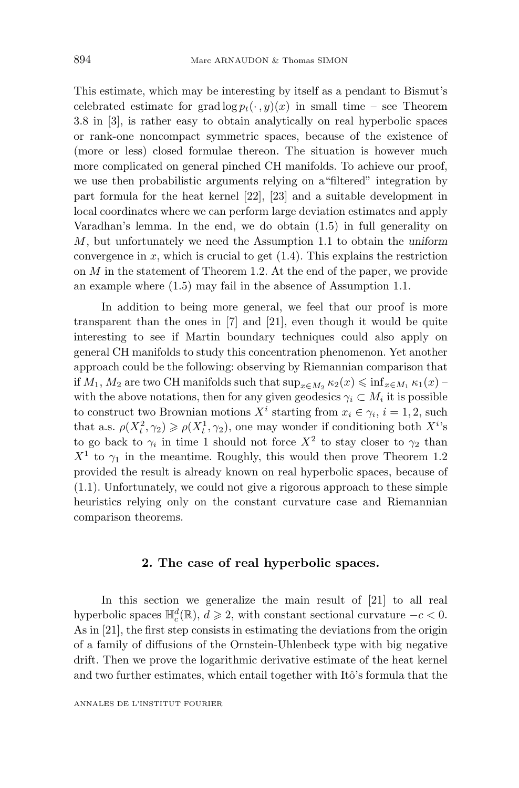This estimate, which may be interesting by itself as a pendant to Bismut's celebrated estimate for grad  $\log p_t(\cdot, y)(x)$  in small time – see Theorem 3.8 in [3], is rather easy to obtain analytically on real hyperbolic spaces or rank-one noncompact symmetric spaces, because of the existence of (more or less) closed formulae thereon. The situation is however much more complicated on general pinched CH manifolds. To achieve our proof, we use then probabilistic arguments relying on a"filtered" integration by part formula for the heat kernel [22], [23] and a suitable development in local coordinates where we can perform large deviation estimates and apply Varadhan's lemma. In the end, we do obtain (1.5) in full generality on *M*, but unfortunately we need the Assumption 1.1 to obtain the *uniform* convergence in  $x$ , which is crucial to get  $(1.4)$ . This explains the restriction on *M* in the statement of Theorem 1.2. At the end of the paper, we provide an example where (1.5) may fail in the absence of Assumption 1.1.

In addition to being more general, we feel that our proof is more transparent than the ones in [7] and [21], even though it would be quite interesting to see if Martin boundary techniques could also apply on general CH manifolds to study this concentration phenomenon. Yet another approach could be the following: observing by Riemannian comparison that if  $M_1, M_2$  are two CH manifolds such that  $\sup_{x \in M_2} \kappa_2(x) \leq \inf_{x \in M_1} \kappa_1(x)$ with the above notations, then for any given geodesics  $\gamma_i \subset M_i$  it is possible to construct two Brownian motions  $X^i$  starting from  $x_i \in \gamma_i$ ,  $i = 1, 2$ , such that a.s.  $\rho(X_t^2, \gamma_2) \geq \rho(X_t^1, \gamma_2)$ , one may wonder if conditioning both  $X^i$ 's to go back to  $\gamma_i$  in time 1 should not force  $X^2$  to stay closer to  $\gamma_2$  than  $X<sup>1</sup>$  to  $\gamma_1$  in the meantime. Roughly, this would then prove Theorem 1.2 provided the result is already known on real hyperbolic spaces, because of (1.1). Unfortunately, we could not give a rigorous approach to these simple heuristics relying only on the constant curvature case and Riemannian comparison theorems.

#### 2. The case of real hyperbolic spaces.

In this section we generalize the main result of [21] to all real hyperbolic spaces  $\mathbb{H}_c^d(\mathbb{R})$ ,  $d \geq 2$ , with constant sectional curvature  $-c < 0$ . As in [21], the first step consists in estimating the deviations from the origin of a family of diffusions of the Ornstein-Uhlenbeck type with big negative drift. Then we prove the logarithmic derivative estimate of the heat kernel and two further estimates, which entail together with Itô's formula that the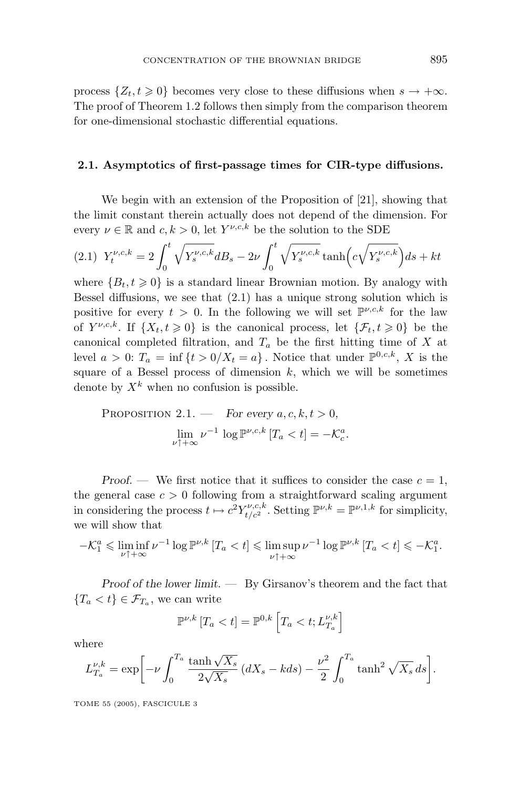process  $\{Z_t, t \geq 0\}$  becomes very close to these diffusions when  $s \to +\infty$ . The proof of Theorem 1.2 follows then simply from the comparison theorem for one-dimensional stochastic differential equations.

#### **2.1. Asymptotics of first-passage times for CIR-type diffusions.**

We begin with an extension of the Proposition of [21], showing that the limit constant therein actually does not depend of the dimension. For every  $\nu \in \mathbb{R}$  and  $c, k > 0$ , let  $Y^{\nu,c,k}$  be the solution to the SDE

$$
(2.1) \ \ Y_t^{\nu,c,k} = 2 \int_0^t \sqrt{Y_s^{\nu,c,k}} dB_s - 2\nu \int_0^t \sqrt{Y_s^{\nu,c,k}} \tanh(c\sqrt{Y_s^{\nu,c,k}}) ds + kt
$$

where  ${B_t, t \geq 0}$  is a standard linear Brownian motion. By analogy with Bessel diffusions, we see that (2.1) has a unique strong solution which is positive for every  $t > 0$ . In the following we will set  $\mathbb{P}^{\nu,c,k}$  for the law of  $Y^{\nu,c,k}$ . If  $\{X_t, t \geq 0\}$  is the canonical process, let  $\{\mathcal{F}_t, t \geq 0\}$  be the canonical completed filtration, and *T<sup>a</sup>* be the first hitting time of *X* at level  $a > 0$ :  $T_a = \inf \{ t > 0 / X_t = a \}$ . Notice that under  $\mathbb{P}^{0,c,k}$ , *X* is the square of a Bessel process of dimension  $k$ , which we will be sometimes denote by  $X^k$  when no confusion is possible.

PROPOSITION 2.1. — For every 
$$
a, c, k, t > 0
$$
,  
\n
$$
\lim_{\nu \uparrow +\infty} \nu^{-1} \log \mathbb{P}^{\nu, c, k} [T_a < t] = -\mathcal{K}_c^a.
$$

*Proof.* — We first notice that it suffices to consider the case  $c = 1$ , the general case  $c > 0$  following from a straightforward scaling argument in considering the process  $t \mapsto c^2 Y_{t/c^2}^{\nu,c,k}$ . Setting  $\mathbb{P}^{\nu,k} = \mathbb{P}^{\nu,1,k}$  for simplicity, we will show that

$$
-\mathcal{K}_1^a \leq \liminf_{\nu \uparrow +\infty} \nu^{-1} \log \mathbb{P}^{\nu,k} \left[ T_a < t \right] \leqslant \limsup_{\nu \uparrow +\infty} \nu^{-1} \log \mathbb{P}^{\nu,k} \left[ T_a < t \right] \leqslant -\mathcal{K}_1^a.
$$

*Proof of the lower limit*. — By Girsanov's theorem and the fact that  ${T_a < t} \in \mathcal{F}_{T_a}$ , we can write

$$
\mathbb{P}^{\nu,k}[T_a < t] = \mathbb{P}^{0,k}\left[T_a < t; L_{T_a}^{\nu,k}\right]
$$

where

$$
L_{T_a}^{\nu,k} = \exp\bigg[-\nu \int_0^{T_a} \frac{\tanh\sqrt{X_s}}{2\sqrt{X_s}}\left(dX_s - kds\right) - \frac{\nu^2}{2} \int_0^{T_a} \tanh^2\sqrt{X_s} ds\bigg].
$$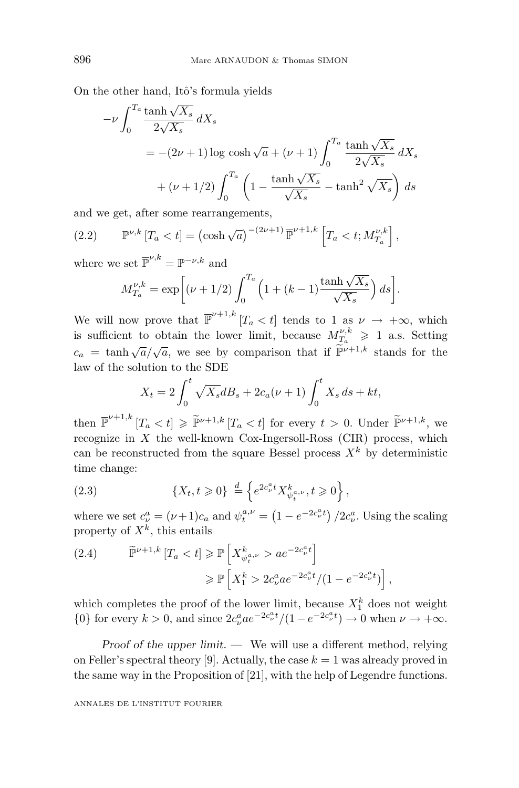On the other hand, Itô's formula yields

$$
-\nu \int_0^{T_a} \frac{\tanh\sqrt{X_s}}{2\sqrt{X_s}} dX_s
$$
  
= -(2\nu + 1) log cosh $\sqrt{a}$  + (\nu + 1)  $\int_0^{T_a} \frac{\tanh\sqrt{X_s}}{2\sqrt{X_s}} dX_s$   
+ (\nu + 1/2)  $\int_0^{T_a} \left(1 - \frac{\tanh\sqrt{X_s}}{\sqrt{X_s}} - \tanh^2\sqrt{X_s}\right) ds$ 

and we get, after some rearrangements,

(2.2) 
$$
\mathbb{P}^{\nu,k}[T_a < t] = (\cosh\sqrt{a})^{-(2\nu+1)} \overline{\mathbb{P}}^{\nu+1,k} [T_a < t; M_{T_a}^{\nu,k}],
$$

where we set  $\overline{\mathbb{P}}^{\nu,k} = \mathbb{P}^{-\nu,k}$  and

$$
M_{T_a}^{\nu,k} = \exp\bigg[ (\nu+1/2) \int_0^{T_a} \left( 1 + (k-1) \frac{\tanh\sqrt{X_s}}{\sqrt{X_s}} \right) ds \bigg].
$$

We will now prove that  $\overline{\mathbb{P}}^{\nu+1,k}$  [ $T_a < t$ ] tends to 1 as  $\nu \to +\infty$ , which is sufficient to obtain the lower limit, because  $M_{T_a}^{\nu,k} \geq 1$  a.s. Setting  $c_a = \tanh \sqrt{a}/\sqrt{a}$ , we see by comparison that if  $\widetilde{\mathbb{P}}^{\nu+1,k}$  stands for the law of the solution to the SDE

$$
X_t = 2\int_0^t \sqrt{X_s} dB_s + 2c_a(\nu + 1) \int_0^t X_s ds + kt,
$$

then  $\overline{\mathbb{P}}^{\nu+1,k}[T_a < t] \geq \overline{\mathbb{P}}^{\nu+1,k}[T_a < t]$  for every  $t > 0$ . Under  $\overline{\mathbb{P}}^{\nu+1,k}$ , we recognize in *X* the well-known Cox-Ingersoll-Ross (CIR) process, which can be reconstructed from the square Bessel process  $X^k$  by deterministic time change:

(2.3) 
$$
\{X_t, t \geq 0\} \stackrel{d}{=} \left\{ e^{2c_{\nu}^a t} X_{\psi_t^{a,\nu}}, t \geq 0 \right\},
$$

where we set  $c^a_\nu = (\nu + 1)c_a$  and  $\psi^{a,\nu}_t = (1 - e^{-2c^a_\nu t})/2c^a_\nu$ . Using the scaling property of *X<sup>k</sup>*, this entails

(2.4) 
$$
\widetilde{\mathbb{P}}^{\nu+1,k} [T_a < t] \geq \mathbb{P} \left[ X_{\psi_t^{a,\nu}}^k > a e^{-2c_{\nu}^a t} \right] \geq \mathbb{P} \left[ X_1^k > 2c_{\nu}^a a e^{-2c_{\nu}^a t} / (1 - e^{-2c_{\nu}^a t}) \right],
$$

which completes the proof of the lower limit, because  $X_1^k$  does not weight {0} for every  $k > 0$ , and since  $2c_{\nu}^{a}ae^{-2c_{\nu}^{a}t}/(1 - e^{-2c_{\nu}^{a}t}) \to 0$  when  $\nu \to +\infty$ .

*Proof of the upper limit*. — We will use a different method, relying on Feller's spectral theory [9]. Actually, the case  $k = 1$  was already proved in the same way in the Proposition of [21], with the help of Legendre functions.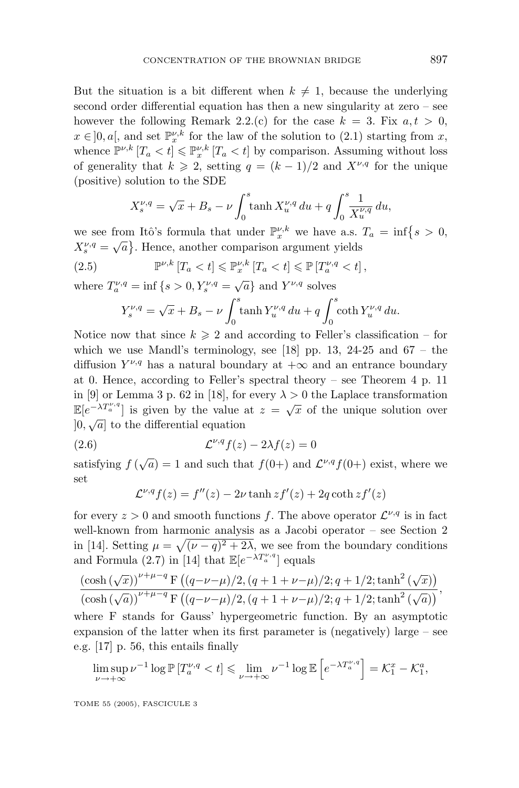But the situation is a bit different when  $k \neq 1$ , because the underlying second order differential equation has then a new singularity at zero – see however the following Remark 2.2.(c) for the case  $k = 3$ . Fix  $a, t > 0$ ,  $x \in ]0, a[$ , and set  $\mathbb{P}_{x}^{\nu, k}$  for the law of the solution to (2.1) starting from *x*, whence  $\mathbb{P}^{\nu,k}[T_a < t] \leq \mathbb{P}^{\nu,k}_x [T_a < t]$  by comparison. Assuming without loss of generality that  $k \geqslant 2$ , setting  $q = (k-1)/2$  and  $X^{\nu,q}$  for the unique (positive) solution to the SDE

$$
X_s^{\nu,q} = \sqrt{x} + B_s - \nu \int_0^s \tanh X_u^{\nu,q} \, du + q \int_0^s \frac{1}{X_u^{\nu,q}} \, du,
$$

we see from Itô's formula that under  $\mathbb{P}_{x}^{\nu,k}$  we have a.s.  $T_a = \inf\{s > 0,$  $X_{s}^{\nu,q} = \sqrt{a}$ . Hence, another comparison argument yields

(2.5) 
$$
\mathbb{P}^{\nu,k}[T_a < t] \leqslant \mathbb{P}_x^{\nu,k}[T_a < t] \leqslant \mathbb{P}[T_a^{\nu,q} < t],
$$

where  $T_a^{\nu,q} = \inf \{ s > 0, Y_s^{\nu,q} = \sqrt{a} \}$  and  $Y^{\nu,q}$  solves

$$
Y_s^{\nu,q} = \sqrt{x} + B_s - \nu \int_0^s \tanh Y_u^{\nu,q} du + q \int_0^s \coth Y_u^{\nu,q} du.
$$

Notice now that since  $k \geq 2$  and according to Feller's classification – for which we use Mandl's terminology, see [18] pp. 13, 24-25 and  $67 -$  the diffusion  $Y^{\nu,q}$  has a natural boundary at  $+\infty$  and an entrance boundary at 0. Hence, according to Feller's spectral theory – see Theorem 4 p. 11 in [9] or Lemma 3 p. 62 in [18], for every  $\lambda > 0$  the Laplace transformation  $\mathbb{E}[e^{-\lambda T_{\alpha}^{\nu,q}}]$  is given by the value at  $z = \sqrt{x}$  of the unique solution over  $[0, \sqrt{a}]$  to the differential equation

$$
(2.6) \t\t \t\t \mathcal{L}^{\nu,q}f(z) - 2\lambda f(z) = 0
$$

satisfying  $f(\sqrt{a}) = 1$  and such that  $f(0+)$  and  $\mathcal{L}^{\nu,q} f(0+)$  exist, where we set

$$
\mathcal{L}^{\nu,q}f(z) = f''(z) - 2\nu \tanh z f'(z) + 2q \coth z f'(z)
$$

for every  $z > 0$  and smooth functions f. The above operator  $\mathcal{L}^{\nu,q}$  is in fact well-known from harmonic analysis as a Jacobi operator – see Section 2 in [14]. Setting  $\mu = \sqrt{(\nu - q)^2 + 2\lambda}$ , we see from the boundary conditions and Formula (2.7) in [14] that  $\mathbb{E}[e^{-\lambda T_a^{\nu,q}}]$  equals

$$
\frac{\left(\cosh\left(\sqrt{x}\right)\right)^{\nu+\mu-q}F\left((q-\nu-\mu)/2,(q+1+\nu-\mu)/2;q+1/2;\tanh^2\left(\sqrt{x}\right)\right)}{\left(\cosh\left(\sqrt{a}\right)\right)^{\nu+\mu-q}F\left((q-\nu-\mu)/2,(q+1+\nu-\mu)/2;q+1/2;\tanh^2\left(\sqrt{a}\right)\right)},
$$

where F stands for Gauss' hypergeometric function. By an asymptotic expansion of the latter when its first parameter is (negatively) large – see e.g. [17] p. 56, this entails finally

$$
\limsup_{\nu \to +\infty} \nu^{-1} \log \mathbb{P}\left[T_a^{\nu,q} < t\right] \leqslant \lim_{\nu \to +\infty} \nu^{-1} \log \mathbb{E}\left[e^{-\lambda T_a^{\nu,q}}\right] = \mathcal{K}_1^x - \mathcal{K}_1^a,
$$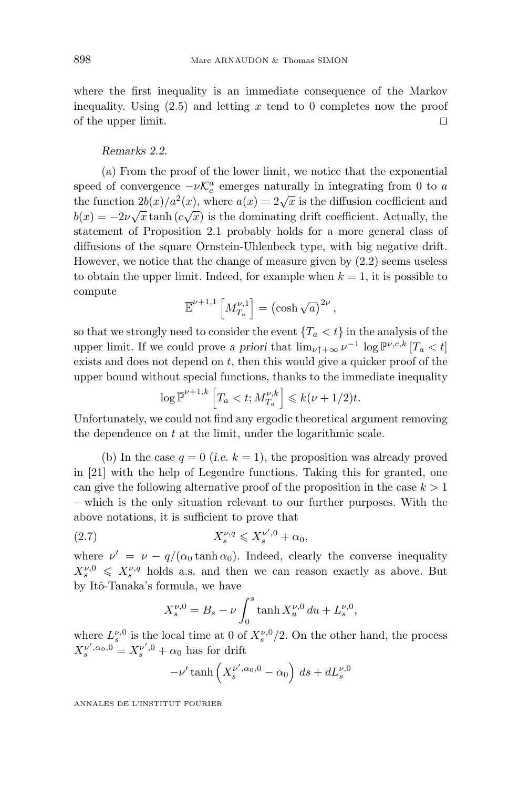where the first inequality is an immediate consequence of the Markov inequality. Using (2.5) and letting *x* tend to 0 completes now the proof of the upper limit.

#### *Remarks 2.2.*

(a) From the proof of the lower limit, we notice that the exponential speed of convergence  $-\nu \mathcal{K}_c^a$  emerges naturally in integrating from 0 to *a* the function  $2b(x)/a^2(x)$ , where  $a(x)=2\sqrt{x}$  is the diffusion coefficient and  $b(x) = -2\nu\sqrt{x}$  tanh  $(c\sqrt{x})$  is the dominating drift coefficient. Actually, the statement of Proposition 2.1 probably holds for a more general class of diffusions of the square Ornstein-Uhlenbeck type, with big negative drift. However, we notice that the change of measure given by (2.2) seems useless to obtain the upper limit. Indeed, for example when  $k = 1$ , it is possible to compute

$$
\overline{\mathbb{E}}^{\nu+1,1}\left[M_{T_a}^{\nu,1}\right]=\left(\cosh\sqrt{a}\right)^{2\nu},\,
$$

so that we strongly need to consider the event  ${T_a < t}$  in the analysis of the upper limit. If we could prove *a priori* that  $\lim_{\nu \uparrow +\infty} \nu^{-1} \log \mathbb{P}^{\nu,c,k} [T_a < t]$ exists and does not depend on *t*, then this would give a quicker proof of the upper bound without special functions, thanks to the immediate inequality

$$
\log \overline{\mathbb{P}}^{\nu+1,k} \left[ T_a < t; M_{T_a}^{\nu,k} \right] \leq k(\nu+1/2)t.
$$

Unfortunately, we could not find any ergodic theoretical argument removing the dependence on *t* at the limit, under the logarithmic scale.

(b) In the case  $q = 0$  (*i.e.*  $k = 1$ ), the proposition was already proved in [21] with the help of Legendre functions. Taking this for granted, one can give the following alternative proof of the proposition in the case  $k > 1$ – which is the only situation relevant to our further purposes. With the above notations, it is sufficient to prove that

$$
(2.7) \t\t X_s^{\nu,q} \leqslant X_s^{\nu',0} + \alpha_0,
$$

where  $\nu' = \nu - q/(\alpha_0 \tanh \alpha_0)$ . Indeed, clearly the converse inequality  $X_s^{\nu,0} \leqslant X_s^{\nu,q}$  holds a.s. and then we can reason exactly as above. But by Itô-Tanaka's formula, we have

$$
X_s^{\nu,0} = B_s - \nu \int_0^s \tanh X_u^{\nu,0} \, du + L_s^{\nu,0},
$$

where  $L_s^{\nu,0}$  is the local time at 0 of  $X_s^{\nu,0}/2$ . On the other hand, the process  $X_s^{\nu',\alpha_0,0} = X_s^{\nu',0} + \alpha_0$  has for drift

$$
-\nu' \tanh\left(X_s^{\nu',\alpha_0,0} - \alpha_0\right) ds + dL_s^{\nu,0}
$$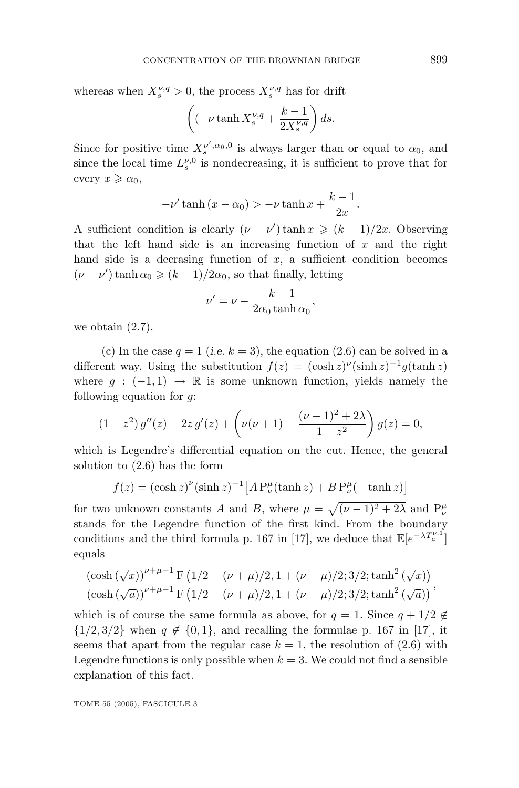whereas when  $X_s^{\nu,q} > 0$ , the process  $X_s^{\nu,q}$  has for drift

$$
\left( \left( -\nu \tanh X_s^{\nu,q} + \frac{k-1}{2X_s^{\nu,q}} \right) ds.
$$

Since for positive time  $X_s^{\nu',\alpha_0,0}$  is always larger than or equal to  $\alpha_0$ , and since the local time  $L_s^{\nu,0}$  is nondecreasing, it is sufficient to prove that for  $every x \geqslant \alpha_0,$ 

$$
-\nu'\tanh\left(x-\alpha_0\right) > -\nu\tanh x + \frac{k-1}{2x}.
$$

A sufficient condition is clearly  $(\nu - \nu') \tanh x \geq (k-1)/2x$ . Observing that the left hand side is an increasing function of *x* and the right hand side is a decrasing function of  $x$ , a sufficient condition becomes  $(\nu - \nu') \tanh \alpha_0 \geqslant (k-1)/2\alpha_0$ , so that finally, letting

$$
\nu' = \nu - \frac{k - 1}{2\alpha_0 \tanh \alpha_0},
$$

we obtain (2.7).

(c) In the case  $q = 1$  (*i.e.*  $k = 3$ ), the equation (2.6) can be solved in a different way. Using the substitution  $f(z) = (\cosh z)^{\nu}(\sinh z)^{-1}g(\tanh z)$ where  $q : (-1,1) \rightarrow \mathbb{R}$  is some unknown function, yields namely the following equation for *g*:

$$
(1 - z2) g''(z) - 2z g'(z) + \left(\nu(\nu + 1) - \frac{(\nu - 1)^{2} + 2\lambda}{1 - z^{2}}\right) g(z) = 0,
$$

which is Legendre's differential equation on the cut. Hence, the general solution to (2.6) has the form

$$
f(z) = (\cosh z)^{\nu} (\sinh z)^{-1} [A P_{\nu}^{\mu}(\tanh z) + B P_{\nu}^{\mu}(-\tanh z)]
$$

for two unknown constants *A* and *B*, where  $\mu = \sqrt{(\nu - 1)^2 + 2\lambda}$  and  $P^{\mu}_{\nu}$ stands for the Legendre function of the first kind. From the boundary conditions and the third formula p. 167 in [17], we deduce that  $\mathbb{E}[e^{-\lambda T_a^{\nu,1}}]$ equals

$$
\frac{\left(\cosh\left(\sqrt{x}\right)\right)^{\nu+\mu-1}F\left(1/2-(\nu+\mu)/2,1+(\nu-\mu)/2;3/2;\tanh^2\left(\sqrt{x}\right)\right)}{\left(\cosh\left(\sqrt{a}\right)\right)^{\nu+\mu-1}F\left(1/2-(\nu+\mu)/2,1+(\nu-\mu)/2;3/2;\tanh^2\left(\sqrt{a}\right)\right)},
$$

which is of course the same formula as above, for  $q = 1$ . Since  $q + 1/2 \notin$  $\{1/2, 3/2\}$  when  $q \notin \{0, 1\}$ , and recalling the formulae p. 167 in [17], it seems that apart from the regular case  $k = 1$ , the resolution of  $(2.6)$  with Legendre functions is only possible when  $k = 3$ . We could not find a sensible explanation of this fact.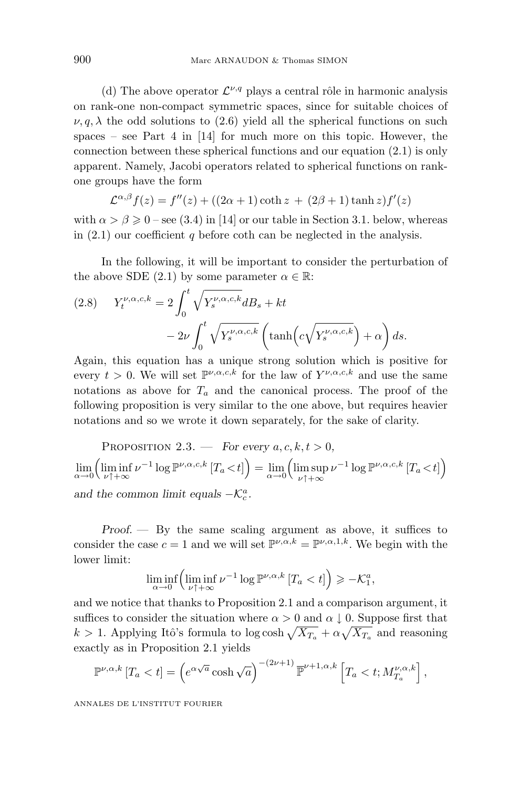(d) The above operator  $\mathcal{L}^{\nu,q}$  plays a central rôle in harmonic analysis on rank-one non-compact symmetric spaces, since for suitable choices of  $\nu, q, \lambda$  the odd solutions to (2.6) yield all the spherical functions on such spaces – see Part 4 in  $[14]$  for much more on this topic. However, the connection between these spherical functions and our equation (2.1) is only apparent. Namely, Jacobi operators related to spherical functions on rankone groups have the form

$$
\mathcal{L}^{\alpha,\beta}f(z) = f''(z) + ((2\alpha + 1)\coth z + (2\beta + 1)\tanh z)f'(z)
$$

with  $\alpha > \beta \geq 0$  – see (3.4) in [14] or our table in Section 3.1. below, whereas in  $(2.1)$  our coefficient *q* before coth can be neglected in the analysis.

In the following, it will be important to consider the perturbation of the above SDE (2.1) by some parameter  $\alpha \in \mathbb{R}$ :

(2.8) 
$$
Y_t^{\nu,\alpha,c,k} = 2 \int_0^t \sqrt{Y_s^{\nu,\alpha,c,k}} dB_s + kt - 2\nu \int_0^t \sqrt{Y_s^{\nu,\alpha,c,k}} \left( \tanh(c\sqrt{Y_s^{\nu,\alpha,c,k}}) + \alpha \right) ds.
$$

Again, this equation has a unique strong solution which is positive for every  $t > 0$ . We will set  $\mathbb{P}^{\nu,\alpha,c,k}$  for the law of  $Y^{\nu,\alpha,c,k}$  and use the same notations as above for  $T_a$  and the canonical process. The proof of the following proposition is very similar to the one above, but requires heavier notations and so we wrote it down separately, for the sake of clarity.

PROPOSITION 2.3. — *For every*  $a, c, k, t > 0$ ,  $\lim_{\alpha \to 0} \left( \liminf_{\nu \uparrow +\infty} \nu^{-1} \log \mathbb{P}^{\nu,\alpha,c,k} \left[ T_a \lt t \right] \right) = \lim_{\alpha \to 0} \left( \limsup_{\nu \uparrow +\infty} \nu^{-1} \log \mathbb{P}^{\nu,\alpha,c,k} \left[ T_a \lt t \right] \right)$ *and the common limit equals*  $-\mathcal{K}_c^a$ *.* 

*Proof. —* By the same scaling argument as above, it suffices to consider the case  $c = 1$  and we will set  $\mathbb{P}^{\nu,\alpha,k} = \mathbb{P}^{\nu,\alpha,1,k}$ . We begin with the lower limit:

$$
\liminf_{\alpha \to 0} \left( \liminf_{\nu \uparrow +\infty} \nu^{-1} \log \mathbb{P}^{\nu,\alpha,k} \left[ T_a < t \right] \right) \geqslant -\mathcal{K}_1^a,
$$

and we notice that thanks to Proposition 2.1and a comparison argument, it suffices to consider the situation where  $\alpha > 0$  and  $\alpha \downarrow 0$ . Suppose first that  $k > 1$ . Applying Itô's formula to log cosh  $\sqrt{X_{T_a}} + \alpha \sqrt{X_{T_a}}$  and reasoning exactly as in Proposition 2.1 yields

$$
\mathbb{P}^{\nu,\alpha,k}[T_a < t] = \left(e^{\alpha\sqrt{a}}\cosh\sqrt{a}\right)^{-(2\nu+1)}\overline{\mathbb{P}}^{\nu+1,\alpha,k}\left[T_a < t; M_{T_a}^{\nu,\alpha,k}\right],
$$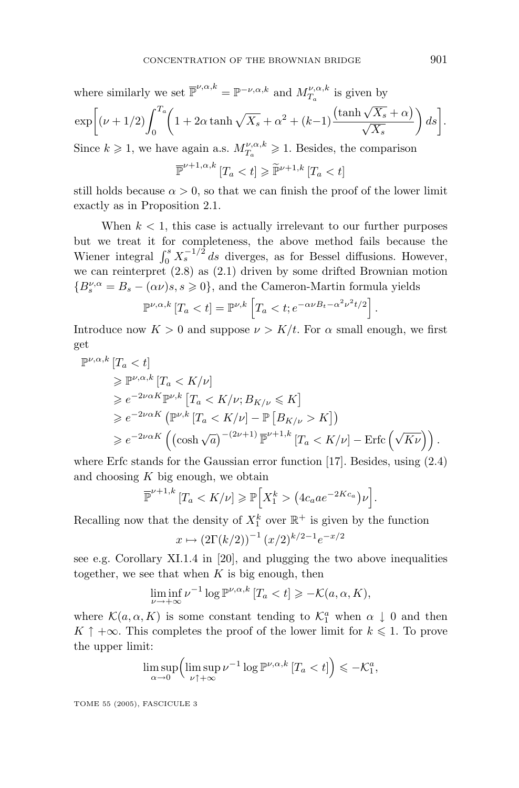where similarly we set  $\overline{\mathbb{P}}^{\nu,\alpha,k} = \mathbb{P}^{-\nu,\alpha,k}$  and  $M_{T_a}^{\nu,\alpha,k}$  is given by

$$
\exp\bigg[\left(\nu+1/2\right)\int_0^{T_a}\bigg(1+2\alpha\tanh\sqrt{X_s}+\alpha^2+(k-1)\frac{\left(\tanh\sqrt{X_s}+\alpha\right)}{\sqrt{X_s}}\bigg)\,ds\bigg].
$$

Since  $k \geq 1$ , we have again a.s.  $M_{T_a}^{\nu,\alpha,k} \geq 1$ . Besides, the comparison

$$
\overline{\mathbb{P}}^{\nu+1,\alpha,k}[T_a < t] \geq \widetilde{\mathbb{P}}^{\nu+1,k}[T_a < t]
$$

still holds because  $\alpha > 0$ , so that we can finish the proof of the lower limit exactly as in Proposition 2.1.

When  $k < 1$ , this case is actually irrelevant to our further purposes but we treat it for completeness, the above method fails because the Wiener integral  $\int_0^s X_s^{-1/2} ds$  diverges, as for Bessel diffusions. However, we can reinterpret  $(2.8)$  as  $(2.1)$  driven by some drifted Brownian motion  ${B_s^{\nu,\alpha} = B_s - (\alpha \nu)s, s \geq 0}$ , and the Cameron-Martin formula yields

$$
\mathbb{P}^{\nu,\alpha,k}[T_a < t] = \mathbb{P}^{\nu,k}\left[T_a < t; e^{-\alpha \nu B_t - \alpha^2 \nu^2 t/2}\right]
$$

Introduce now  $K > 0$  and suppose  $\nu > K/t$ . For  $\alpha$  small enough, we first get

$$
\begin{split} \mathbb{P}^{\nu,\alpha,k} & [T_a < t] \\ &\geq \mathbb{P}^{\nu,\alpha,k} \left[ T_a < K/\nu \right] \\ &\geq e^{-2\nu\alpha K} \mathbb{P}^{\nu,k} \left[ T_a < K/\nu; B_{K/\nu} \leq K \right] \\ &\geq e^{-2\nu\alpha K} \left( \mathbb{P}^{\nu,k} \left[ T_a < K/\nu \right] - \mathbb{P} \left[ B_{K/\nu} > K \right] \right) \\ &\geq e^{-2\nu\alpha K} \left( \left( \cosh \sqrt{a} \right)^{-(2\nu+1)} \mathbb{P}^{\nu+1,k} \left[ T_a < K/\nu \right] - \text{Erfc} \left( \sqrt{K\nu} \right) \right). \end{split}
$$

where Erfc stands for the Gaussian error function [17]. Besides, using (2.4) and choosing *K* big enough, we obtain

$$
\overline{\mathbb{P}}^{\nu+1,k}[T_a < K/\nu] \ge \mathbb{P}\Big[X_1^k > \big(4c_a a e^{-2Kc_a}\big)\nu\Big].
$$

Recalling now that the density of  $X_1^k$  over  $\mathbb{R}^+$  is given by the function

$$
x \mapsto (2\Gamma(k/2))^{-1} (x/2)^{k/2-1} e^{-x/2}
$$

see e.g. Corollary XI.1.4 in [20], and plugging the two above inequalities together, we see that when  $K$  is big enough, then

$$
\liminf_{\nu \to +\infty} \nu^{-1} \log \mathbb{P}^{\nu,\alpha,k} \left[ T_a < t \right] \geqslant -\mathcal{K}(a,\alpha,K),
$$

where  $\mathcal{K}(a,\alpha,K)$  is some constant tending to  $\mathcal{K}_1^a$  when  $\alpha \downarrow 0$  and then *K* ↑ +∞. This completes the proof of the lower limit for  $k \le 1$ . To prove the upper limit:

$$
\limsup_{\alpha \to 0} \left( \limsup_{\nu \uparrow + \infty} \nu^{-1} \log \mathbb{P}^{\nu, \alpha, k} \left[ T_a < t \right] \right) \leqslant -\mathcal{K}_1^a,
$$

TOME 55 (2005), FASCICULE 3

*.*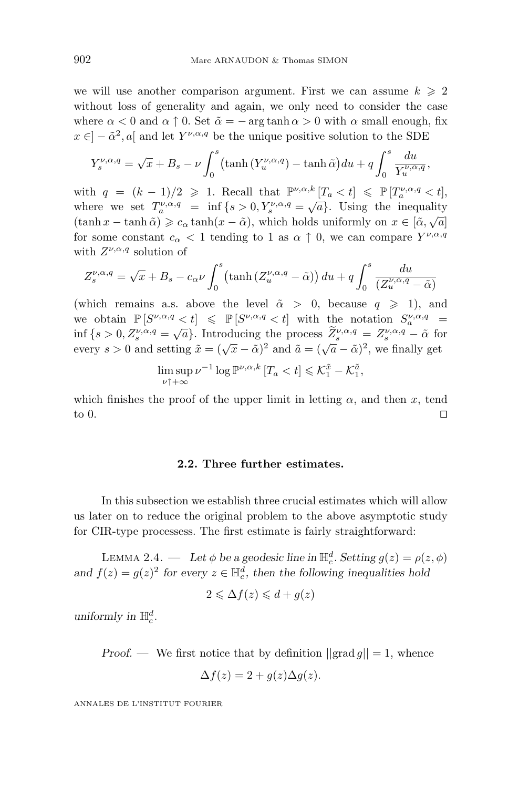we will use another comparison argument. First we can assume  $k \geq 2$ without loss of generality and again, we only need to consider the case where  $\alpha < 0$  and  $\alpha \uparrow 0$ . Set  $\tilde{\alpha} = - \arg \tanh \alpha > 0$  with  $\alpha$  small enough, fix  $x \in ]-\tilde{\alpha}^2, a]$  and let  $Y^{\nu,\alpha,q}$  be the unique positive solution to the SDE

$$
Y_s^{\nu,\alpha,q} = \sqrt{x} + B_s - \nu \int_0^s (\tanh(Y_u^{\nu,\alpha,q}) - \tanh \tilde{\alpha}) du + q \int_0^s \frac{du}{Y_u^{\nu,\alpha,q}},
$$

with  $q = (k - 1)/2 \geq 1$ . Recall that  $\mathbb{P}^{\nu,\alpha,k}[T_a < t] \leq \mathbb{P}[T_a^{\nu,\alpha,q} < t]$ , where we set  $T_a^{\nu,\alpha,q}$  = inf {*s* > 0*, Y<sub>s</sub>*,  $\alpha,q$  =  $\sqrt{a}$ }. Using the inequality (tanh  $x - \tanh \tilde{\alpha}$ )  $\geqslant c_{\alpha} \tanh(x - \tilde{\alpha})$ , which holds uniformly on  $x \in [\tilde{\alpha}, \sqrt{a}]$ for some constant  $c_{\alpha}$   $\lt$  1 tending to 1 as  $\alpha$   $\uparrow$  0, we can compare  $Y^{\nu,\alpha,q}$ with  $Z^{\nu,\alpha,q}$  solution of

$$
Z_s^{\nu,\alpha,q} = \sqrt{x} + B_s - c_\alpha \nu \int_0^s (\tanh\left(Z_u^{\nu,\alpha,q} - \tilde{\alpha}\right)) \, du + q \int_0^s \frac{du}{\left(Z_u^{\nu,\alpha,q} - \tilde{\alpha}\right)}
$$

(which remains a.s. above the level  $\tilde{\alpha} > 0$ , because  $q \ge 1$ ), and we obtain  $\mathbb{P}\left[S^{\nu,\alpha,q} < t\right] \leq \mathbb{P}\left[S^{\nu,\alpha,q} < t\right]$  with the notation  $S_a^{\nu,\alpha,q}$  = inf  $\{s > 0, Z_s^{\nu,\alpha,q} = \sqrt{a}\}$ . Introducing the process  $\widetilde{Z}_s^{\nu,\alpha,q} = Z_s^{\nu,\alpha,q} - \widetilde{\alpha}$  for every  $s > 0$  and setting  $\tilde{x} = (\sqrt{x} - \tilde{\alpha})^2$  and  $\tilde{a} = (\sqrt{a} - \tilde{\alpha})^2$ , we finally get

$$
\limsup_{\nu \uparrow +\infty} \nu^{-1} \log \mathbb{P}^{\nu,\alpha,k} \left[ T_a < t \right] \leqslant \mathcal{K}_1^{\tilde{x}} - \mathcal{K}_1^{\tilde{a}},
$$

which finishes the proof of the upper limit in letting  $\alpha$ , and then *x*, tend to 0.

#### **2.2. Three further estimates.**

In this subsection we establish three crucial estimates which will allow us later on to reduce the original problem to the above asymptotic study for CIR-type processess. The first estimate is fairly straightforward:

LEMMA 2.4. — Let  $\phi$  be a geodesic line in  $\mathbb{H}_c^d$ . Setting  $g(z) = \rho(z, \phi)$ *and*  $f(z) = g(z)^2$  *for every*  $z \in \mathbb{H}_c^d$ , *then the following inequalities hold* 

$$
2 \leq \Delta f(z) \leq d + g(z)
$$

*uniformly in*  $\mathbb{H}_c^d$ *.* 

*Proof.* — We first notice that by definition  $||\text{grad } q|| = 1$ , whence

$$
\Delta f(z) = 2 + g(z)\Delta g(z).
$$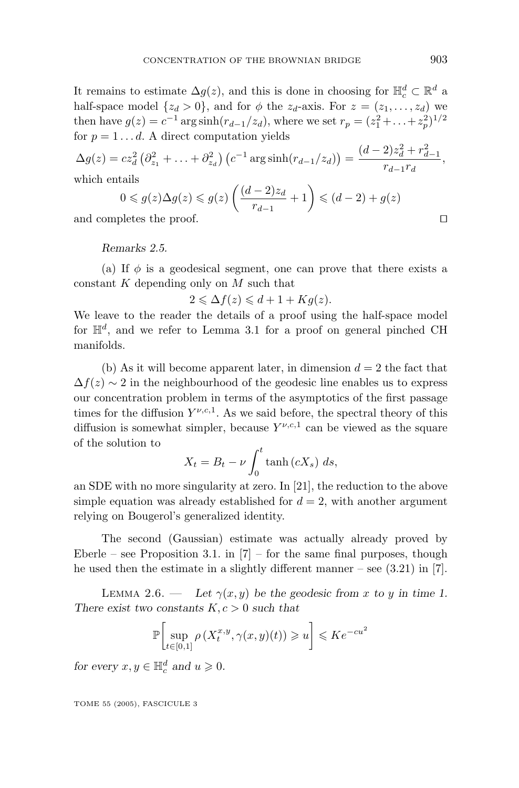It remains to estimate  $\Delta g(z)$ , and this is done in choosing for  $\mathbb{H}_c^d \subset \mathbb{R}^d$  a half-space model  $\{z_d > 0\}$ , and for  $\phi$  the  $z_d$ -axis. For  $z = (z_1, \ldots, z_d)$  we then have  $g(z) = c^{-1} \arg \sinh(r_{d-1}/z_d)$ , where we set  $r_p = (z_1^2 + ... + z_p^2)^{1/2}$ for  $p = 1 \ldots d$ . A direct computation yields

 $\Delta g(z) = cz_d^2 \left( \partial_{z_1}^2 + \ldots + \partial_{z_d}^2 \right) \left( c^{-1} \arg \sinh(r_{d-1}/z_d) \right) = \frac{(d-2)z_d^2 + r_{d-1}^2}{r_d^2 + r_d^2}$  $\frac{r}{r_{d-1}r_d}$ , which entails

$$
0 \leqslant g(z)\Delta g(z) \leqslant g(z)\left(\frac{(d-2)z_d}{r_{d-1}} + 1\right) \leqslant (d-2) + g(z)
$$

and completes the proof.

*Remarks 2.5.*

(a) If  $\phi$  is a geodesical segment, one can prove that there exists a constant *K* depending only on *M* such that

$$
2 \leq \Delta f(z) \leq d + 1 + Kg(z).
$$

We leave to the reader the details of a proof using the half-space model for  $\mathbb{H}^d$ , and we refer to Lemma 3.1 for a proof on general pinched CH manifolds.

(b) As it will become apparent later, in dimension  $d = 2$  the fact that  $\Delta f(z) \sim 2$  in the neighbourhood of the geodesic line enables us to express our concentration problem in terms of the asymptotics of the first passage times for the diffusion  $Y^{\nu,c,1}$ . As we said before, the spectral theory of this diffusion is somewhat simpler, because  $Y^{\nu,c,1}$  can be viewed as the square of the solution to

$$
X_t = B_t - \nu \int_0^t \tanh\left(cX_s\right) \, ds,
$$

an SDE with no more singularity at zero. In [21], the reduction to the above simple equation was already established for  $d = 2$ , with another argument relying on Bougerol's generalized identity.

The second (Gaussian) estimate was actually already proved by Eberle – see Proposition 3.1. in  $|7|$  – for the same final purposes, though he used then the estimate in a slightly different manner – see  $(3.21)$  in [7].

LEMMA 2.6. — Let  $\gamma(x, y)$  be the geodesic from *x* to *y* in time 1. *There exist two constants K, c >* 0 *such that*

$$
\mathbb{P}\bigg[\sup_{t\in[0,1]}\rho\left(X_t^{x,y},\gamma(x,y)(t)\right)\geqslant u\bigg]\leqslant Ke^{-cu^2}
$$

*for every*  $x, y \in \mathbb{H}_c^d$  *and*  $u \ge 0$ *.*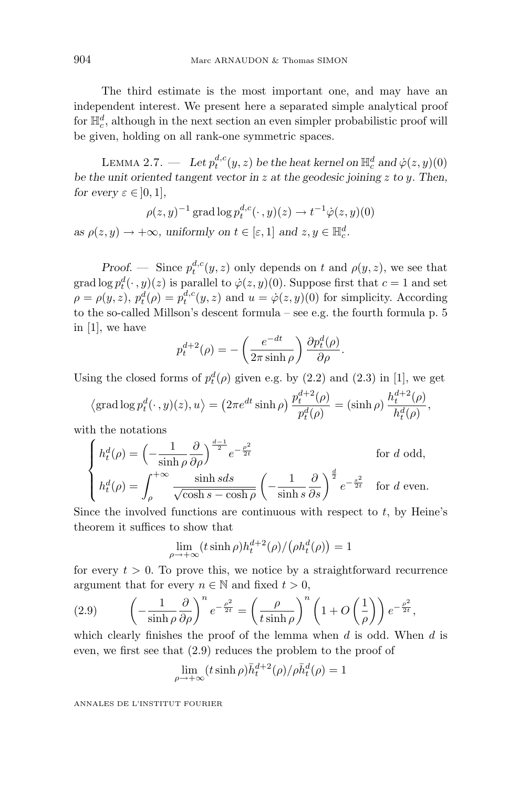The third estimate is the most important one, and may have an independent interest. We present here a separated simple analytical proof for  $\mathbb{H}_c^d$ , although in the next section an even simpler probabilistic proof will be given, holding on all rank-one symmetric spaces.

LEMMA 2.7. — Let  $p_t^{d,c}(y, z)$  be the heat kernel on  $\mathbb{H}_c^d$  and  $\dot{\varphi}(z, y)(0)$ *be the unit oriented tangent vector in z at the geodesic joining z to y. Then, for every*  $\varepsilon \in [0, 1]$ *,* 

$$
\rho(z, y)^{-1} \operatorname{grad} \log p_t^{d,c}(\cdot, y)(z) \to t^{-1} \dot{\varphi}(z, y)(0)
$$

*as*  $\rho(z, y) \to +\infty$ *, uniformly on*  $t \in [\varepsilon, 1]$  *and*  $z, y \in \mathbb{H}_c^d$ *.* 

*Proof.* — Since  $p_t^{d,c}(y, z)$  only depends on *t* and  $\rho(y, z)$ , we see that grad  $\log p_t^d(\cdot, y)(z)$  is parallel to  $\dot{\varphi}(z, y)(0)$ . Suppose first that  $c = 1$  and set  $\rho = \rho(y, z)$ ,  $p_t^d(\rho) = p_t^{d,c}(y, z)$  and  $u = \dot{\varphi}(z, y)(0)$  for simplicity. According to the so-called Millson's descent formula – see e.g. the fourth formula p. 5 in [1], we have

$$
p_t^{d+2}(\rho) = -\left(\frac{e^{-dt}}{2\pi \sinh \rho}\right) \frac{\partial p_t^d(\rho)}{\partial \rho}.
$$

Using the closed forms of  $p_t^d(\rho)$  given e.g. by (2.2) and (2.3) in [1], we get

$$
\langle \operatorname{grad} \log p_t^d(\cdot, y)(z), u \rangle = \left( 2\pi e^{dt} \sinh \rho \right) \frac{p_t^{d+2}(\rho)}{p_t^d(\rho)} = (\sinh \rho) \frac{h_t^{d+2}(\rho)}{h_t^d(\rho)},
$$

with the notations

$$
\begin{cases}\nh_t^d(\rho) = \left(-\frac{1}{\sinh \rho} \frac{\partial}{\partial \rho}\right)^{\frac{d-1}{2}} e^{-\frac{\rho^2}{2t}} & \text{for } d \text{ odd,} \\
h_t^d(\rho) = \int_{\rho}^{+\infty} \frac{\sinh sds}{\sqrt{\cosh s - \cosh \rho}} \left(-\frac{1}{\sinh s} \frac{\partial}{\partial s}\right)^{\frac{d}{2}} e^{-\frac{s^2}{2t}} & \text{for } d \text{ even.}\n\end{cases}
$$

Since the involved functions are continuous with respect to  $t$ , by Heine's theorem it suffices to show that

$$
\lim_{\rho \to +\infty} (t \sinh \rho) h_t^{d+2}(\rho) / (\rho h_t^d(\rho)) = 1
$$

for every  $t > 0$ . To prove this, we notice by a straightforward recurrence argument that for every  $n \in \mathbb{N}$  and fixed  $t > 0$ ,

(2.9) 
$$
\left(-\frac{1}{\sinh \rho} \frac{\partial}{\partial \rho}\right)^n e^{-\frac{\rho^2}{2t}} = \left(\frac{\rho}{t \sinh \rho}\right)^n \left(1 + O\left(\frac{1}{\rho}\right)\right) e^{-\frac{\rho^2}{2t}},
$$

which clearly finishes the proof of the lemma when *d* is odd. When *d* is even, we first see that (2.9) reduces the problem to the proof of

$$
\lim_{\rho \to +\infty} (t \sinh \rho) \bar{h}_t^{d+2}(\rho) / \rho \bar{h}_t^d(\rho) = 1
$$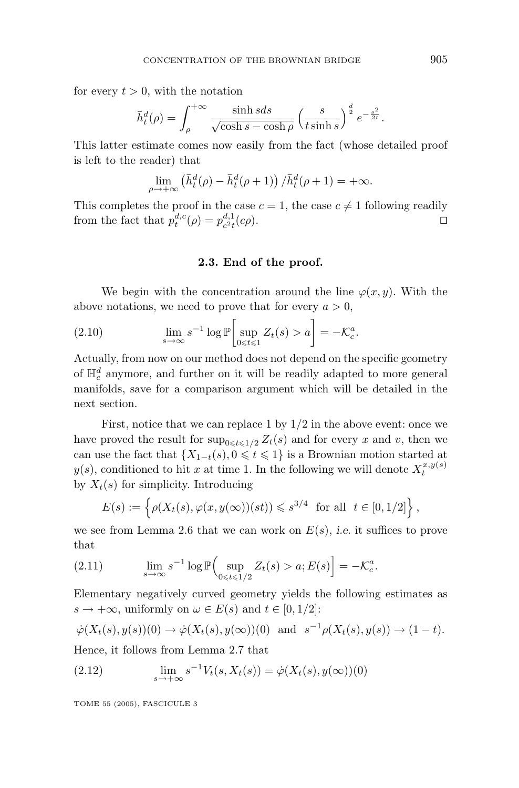for every  $t > 0$ , with the notation

$$
\bar{h}_t^d(\rho) = \int_{\rho}^{+\infty} \frac{\sinh s ds}{\sqrt{\cosh s - \cosh \rho}} \left(\frac{s}{t \sinh s}\right)^{\frac{d}{2}} e^{-\frac{s^2}{2t}}.
$$

This latter estimate comes now easily from the fact (whose detailed proof is left to the reader) that

$$
\lim_{\rho \to +\infty} \left( \bar{h}_t^d(\rho) - \bar{h}_t^d(\rho + 1) \right) / \bar{h}_t^d(\rho + 1) = +\infty.
$$

This completes the proof in the case  $c = 1$ , the case  $c \neq 1$  following readily from the fact that  $p_t^{d,c}(\rho) = p_{c^2t}^{d,1}(c\rho)$ .

#### **2.3. End of the proof.**

We begin with the concentration around the line  $\varphi(x, y)$ . With the above notations, we need to prove that for every  $a > 0$ ,

(2.10) 
$$
\lim_{s \to \infty} s^{-1} \log \mathbb{P}\left[\sup_{0 \le t \le 1} Z_t(s) > a\right] = -\mathcal{K}_c^a.
$$

Actually, from now on our method does not depend on the specific geometry of  $\mathbb{H}_c^d$  anymore, and further on it will be readily adapted to more general manifolds, save for a comparison argument which will be detailed in the next section.

First, notice that we can replace 1 by  $1/2$  in the above event: once we have proved the result for  $\sup_{0 \le t \le 1/2} Z_t(s)$  and for every *x* and *v*, then we can use the fact that  $\{X_{1-t}(s), 0 \leq t \leq 1\}$  is a Brownian motion started at  $y(s)$ , conditioned to hit *x* at time 1. In the following we will denote  $X_t^{x,y(s)}$ by  $X_t(s)$  for simplicity. Introducing

$$
E(s) := \left\{ \rho(X_t(s), \varphi(x, y(\infty))(st)) \leq s^{3/4} \text{ for all } t \in [0, 1/2] \right\},\
$$

we see from Lemma 2.6 that we can work on  $E(s)$ , *i.e.* it suffices to prove that

(2.11) 
$$
\lim_{s \to \infty} s^{-1} \log \mathbb{P}\Big(\sup_{0 \leq t \leq 1/2} Z_t(s) > a; E(s)\Big] = -\mathcal{K}_c^a.
$$

Elementary negatively curved geometry yields the following estimates as  $s \to +\infty$ , uniformly on  $\omega \in E(s)$  and  $t \in [0, 1/2]$ :

$$
\dot{\varphi}(X_t(s), y(s))(0) \to \dot{\varphi}(X_t(s), y(\infty))(0)
$$
 and  $s^{-1}\rho(X_t(s), y(s)) \to (1-t)$ .

Hence, it follows from Lemma 2.7 that

(2.12) 
$$
\lim_{s \to +\infty} s^{-1} V_t(s, X_t(s)) = \dot{\varphi}(X_t(s), y(\infty))(0)
$$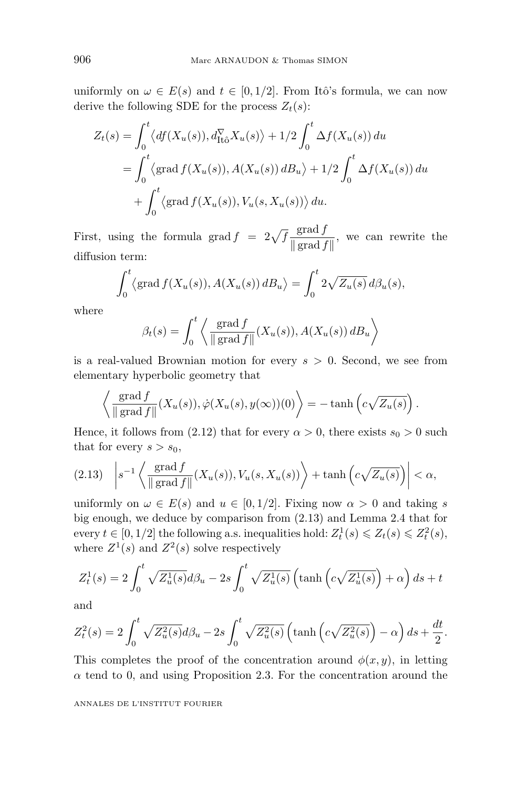uniformly on  $\omega \in E(s)$  and  $t \in [0, 1/2]$ . From Itô's formula, we can now derive the following SDE for the process  $Z_t(s)$ :

$$
Z_t(s) = \int_0^t \langle df(X_u(s)), d_{\text{It}\hat{o}}^{\nabla} X_u(s) \rangle + 1/2 \int_0^t \Delta f(X_u(s)) du
$$
  
= 
$$
\int_0^t \langle \text{grad } f(X_u(s)), A(X_u(s)) dB_u \rangle + 1/2 \int_0^t \Delta f(X_u(s)) du
$$
  
+ 
$$
\int_0^t \langle \text{grad } f(X_u(s)), V_u(s, X_u(s)) \rangle du.
$$

First, using the formula grad  $f = 2\sqrt{f} \frac{\text{grad } f}{\|\text{ grad } f \|}$ , we can rewrite the diffusion term:

$$
\int_0^t \langle \operatorname{grad} f(X_u(s)), A(X_u(s)) \, dB_u \rangle = \int_0^t 2\sqrt{Z_u(s)} \, d\beta_u(s),
$$

where

$$
\beta_t(s) = \int_0^t \left\langle \frac{\text{grad } f}{\| \text{ grad } f \|} (X_u(s)), A(X_u(s)) \, dB_u \right\rangle
$$

is a real-valued Brownian motion for every *s >* 0. Second, we see from elementary hyperbolic geometry that

$$
\left\langle \frac{\operatorname{grad} f}{\|\operatorname{grad} f\|} (X_u(s)), \dot{\varphi} (X_u(s), y(\infty))(0) \right\rangle = - \tanh \left( c \sqrt{Z_u(s)} \right).
$$

Hence, it follows from (2.12) that for every  $\alpha > 0$ , there exists  $s_0 > 0$  such that for every  $s > s_0$ ,

$$
(2.13)\quad \left| s^{-1}\left\langle \frac{\text{grad } f}{\|\text{ grad } f\|}(X_u(s)), V_u(s,X_u(s)) \right\rangle + \tanh\left(c\sqrt{Z_u(s)}\right) \right| < \alpha,
$$

uniformly on  $\omega \in E(s)$  and  $u \in [0, 1/2]$ . Fixing now  $\alpha > 0$  and taking *s* big enough, we deduce by comparison from (2.13) and Lemma 2.4 that for every  $t \in [0, 1/2]$  the following a.s. inequalities hold:  $Z_t^1(s) \leq \overline{Z_t}(s) \leq \overline{Z_t^2}(s)$ , where  $Z^1(s)$  and  $Z^2(s)$  solve respectively

$$
Z_t^1(s) = 2\int_0^t \sqrt{Z_u^1(s)}d\beta_u - 2s \int_0^t \sqrt{Z_u^1(s)} \left(\tanh\left(c\sqrt{Z_u^1(s)}\right) + \alpha\right)ds + t
$$

and

$$
Z_t^2(s) = 2 \int_0^t \sqrt{Z_u^2(s)} d\beta_u - 2s \int_0^t \sqrt{Z_u^2(s)} \left( \tanh\left(c\sqrt{Z_u^2(s)}\right) - \alpha \right) ds + \frac{dt}{2}.
$$

This completes the proof of the concentration around  $\phi(x, y)$ , in letting  $\alpha$  tend to 0, and using Proposition 2.3. For the concentration around the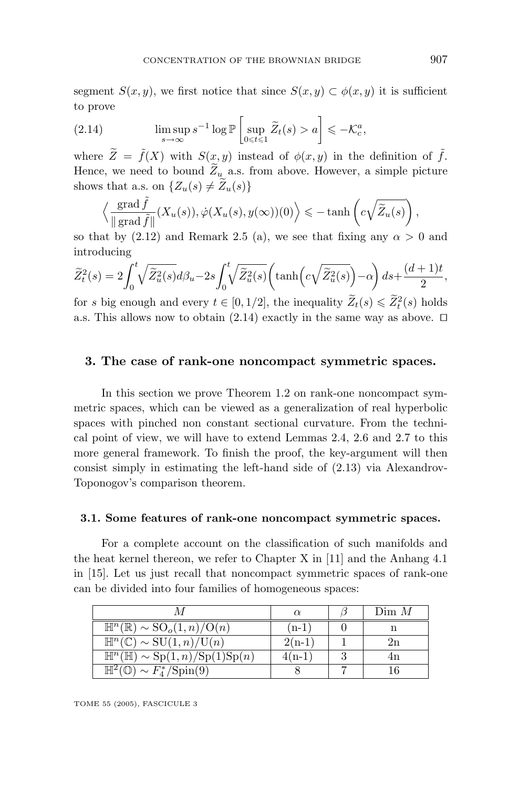segment *S*(*x, y*), we first notice that since  $S(x, y) \subset \phi(x, y)$  it is sufficient to prove

(2.14) 
$$
\limsup_{s \to \infty} s^{-1} \log \mathbb{P}\left[\sup_{0 \le t \le 1} \widetilde{Z}_t(s) > a\right] \le -\mathcal{K}_c^a,
$$

where  $\widetilde{Z} = \widetilde{f}(X)$  with  $S(x, y)$  instead of  $\phi(x, y)$  in the definition of  $\widetilde{f}$ . Hence, we need to bound  $\widetilde{Z}_u$  a.s. from above. However, a simple picture shows that a.s. on  $\{Z_u(s) \neq Z_u(s)\}\$ 

$$
\left\langle \frac{\operatorname{grad} \tilde{f}}{\Vert \operatorname{grad} \tilde{f} \Vert} (X_u(s)), \dot{\varphi}(X_u(s), y(\infty))(0) \right\rangle \leq - \tanh \left( c \sqrt{\tilde{Z}_u(s)} \right),
$$

so that by  $(2.12)$  and Remark 2.5 (a), we see that fixing any  $\alpha > 0$  and introducing

$$
\widetilde{Z}_t^2(s) = 2 \int_0^t \sqrt{\widetilde{Z}_u^2(s)} d\beta_u - 2s \int_0^t \sqrt{\widetilde{Z}_u^2(s)} \left( \tanh\left(c\sqrt{\widetilde{Z}_u^2(s)}\right) - \alpha \right) ds + \frac{(d+1)t}{2},
$$

for *s* big enough and every  $t \in [0, 1/2]$ , the inequality  $\widetilde{Z}_t(s) \leq \widetilde{Z}_t^2(s)$  holds a.s. This allows now to obtain (2.14) exactly in the same way as above.  $\Box$ 

#### **3. The case of rank-one noncompact symmetric spaces.**

In this section we prove Theorem 1.2 on rank-one noncompact symmetric spaces, which can be viewed as a generalization of real hyperbolic spaces with pinched non constant sectional curvature. From the technical point of view, we will have to extend Lemmas 2.4, 2.6 and 2.7 to this more general framework. To finish the proof, the key-argument will then consist simply in estimating the left-hand side of (2.13) via Alexandrov-Toponogov's comparison theorem.

#### **3.1. Some features of rank-one noncompact symmetric spaces.**

For a complete account on the classification of such manifolds and the heat kernel thereon, we refer to Chapter X in [11] and the Anhang 4.1 in [15]. Let us just recall that noncompact symmetric spaces of rank-one can be divided into four families of homogeneous spaces:

|                                                                         |          | Dim M |
|-------------------------------------------------------------------------|----------|-------|
| $\mathbb{H}^n(\mathbb{R}) \sim SO_o(1,n)/O(n)$                          | ′n-1     |       |
| $\mathbb{H}^n(\mathbb{C}) \sim \mathrm{SU}(1,n)/\mathrm{U}(n)$          | $2(n-1)$ |       |
| $\mathbb{H}^n(\mathbb{H}) \sim \text{Sp}(1,n)/\text{Sp}(1)\text{Sp}(n)$ | $4(n-1)$ |       |
| $\sim F_4^*/Spin(9)$                                                    |          |       |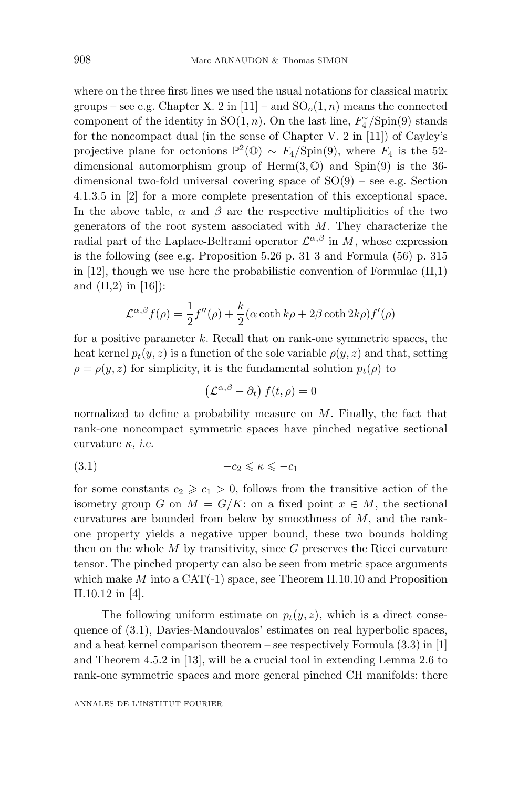where on the three first lines we used the usual notations for classical matrix groups – see e.g. Chapter X. 2 in [11] – and  $SO<sub>o</sub>(1, n)$  means the connected component of the identity in SO(1*, n*). On the last line, *F*<sup>∗</sup> <sup>4</sup> */*Spin(9) stands for the noncompact dual (in the sense of Chapter V. 2 in [11]) of Cayley's projective plane for octonions  $\mathbb{P}^2(\mathbb{O}) \sim F_4/\text{Spin}(9)$ , where  $F_4$  is the 52dimensional automorphism group of Herm(3*,* O) and Spin(9) is the 36 dimensional two-fold universal covering space of  $SO(9)$  – see e.g. Section 4.1.3.5 in [2] for a more complete presentation of this exceptional space. In the above table,  $\alpha$  and  $\beta$  are the respective multiplicities of the two generators of the root system associated with *M*. They characterize the radial part of the Laplace-Beltrami operator  $\mathcal{L}^{\alpha,\beta}$  in *M*, whose expression is the following (see e.g. Proposition 5.26 p. 313 and Formula (56) p. 315 in  $[12]$ , though we use here the probabilistic convention of Formulae  $(II,1)$ and  $(II,2)$  in [16]):

$$
\mathcal{L}^{\alpha,\beta}f(\rho) = \frac{1}{2}f''(\rho) + \frac{k}{2}(\alpha \coth k\rho + 2\beta \coth 2k\rho)f'(\rho)
$$

for a positive parameter *k*. Recall that on rank-one symmetric spaces, the heat kernel  $p_t(y, z)$  is a function of the sole variable  $\rho(y, z)$  and that, setting  $\rho = \rho(y, z)$  for simplicity, it is the fundamental solution  $p_t(\rho)$  to

$$
\left(\mathcal{L}^{\alpha,\beta}-\partial_{t}\right)f(t,\rho)=0
$$

normalized to define a probability measure on *M*. Finally, the fact that rank-one noncompact symmetric spaces have pinched negative sectional curvature *κ*, *i.e.*

$$
(3.1) \t -c_2 \leqslant \kappa \leqslant -c_1
$$

for some constants  $c_2 \geqslant c_1 > 0$ , follows from the transitive action of the isometry group *G* on  $M = G/K$ : on a fixed point  $x \in M$ , the sectional curvatures are bounded from below by smoothness of *M*, and the rankone property yields a negative upper bound, these two bounds holding then on the whole  $M$  by transitivity, since  $G$  preserves the Ricci curvature tensor. The pinched property can also be seen from metric space arguments which make *M* into a CAT(-1) space, see Theorem II.10.10 and Proposition II.10.12 in [4].

The following uniform estimate on  $p_t(y, z)$ , which is a direct consequence of (3.1), Davies-Mandouvalos' estimates on real hyperbolic spaces, and a heat kernel comparison theorem – see respectively Formula  $(3.3)$  in [1] and Theorem 4.5.2 in [13], will be a crucial tool in extending Lemma 2.6 to rank-one symmetric spaces and more general pinched CH manifolds: there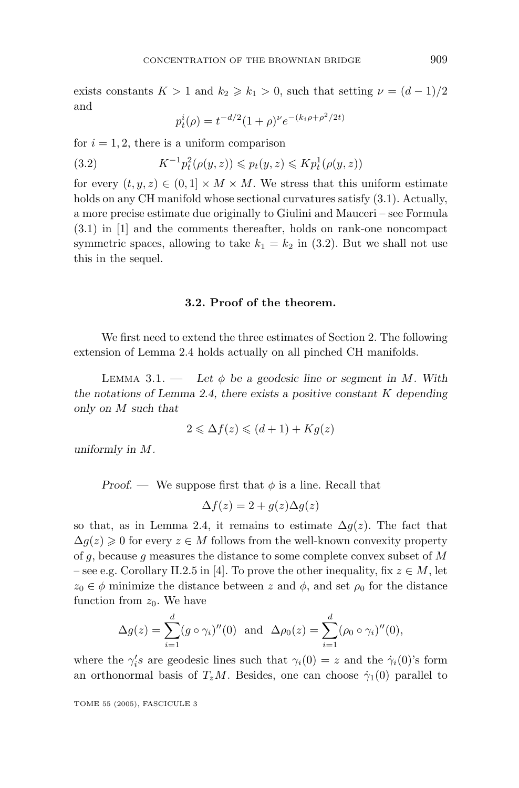exists constants  $K > 1$  and  $k_2 \geq k_1 > 0$ , such that setting  $\nu = (d-1)/2$ and

$$
p_t^i(\rho) = t^{-d/2} (1+\rho)^{\nu} e^{-(k_i \rho + \rho^2/2t)}
$$

for  $i = 1, 2$ , there is a uniform comparison

(3.2) 
$$
K^{-1}p_t^2(\rho(y, z)) \leq p_t(y, z) \leq Kp_t^1(\rho(y, z))
$$

for every  $(t, y, z) \in (0, 1] \times M \times M$ . We stress that this uniform estimate holds on any CH manifold whose sectional curvatures satisfy  $(3.1)$ . Actually, a more precise estimate due originally to Giulini and Mauceri – see Formula (3.1) in [1] and the comments thereafter, holds on rank-one noncompact symmetric spaces, allowing to take  $k_1 = k_2$  in (3.2). But we shall not use this in the sequel.

#### **3.2. Proof of the theorem.**

We first need to extend the three estimates of Section 2. The following extension of Lemma 2.4 holds actually on all pinched CH manifolds.

LEMMA 3.1. — Let  $\phi$  be a geodesic line or segment in M. With *the notations of Lemma 2.4, there exists a positive constant K depending only on M such that*

$$
2 \leq \Delta f(z) \leq (d+1) + Kg(z)
$$

*uniformly in M.*

*Proof.* — We suppose first that  $\phi$  is a line. Recall that

$$
\Delta f(z) = 2 + g(z)\Delta g(z)
$$

so that, as in Lemma 2.4, it remains to estimate  $\Delta g(z)$ . The fact that  $\Delta g(z) \geq 0$  for every  $z \in M$  follows from the well-known convexity property of *g*, because *g* measures the distance to some complete convex subset of *M* – see e.g. Corollary II.2.5 in [4]. To prove the other inequality, fix  $z \in M$ , let  $z_0 \in \phi$  minimize the distance between *z* and  $\phi$ , and set  $\rho_0$  for the distance function from  $z_0$ . We have

$$
\Delta g(z) = \sum_{i=1}^{d} (g \circ \gamma_i)''(0)
$$
 and  $\Delta \rho_0(z) = \sum_{i=1}^{d} (\rho_0 \circ \gamma_i)''(0)$ ,

where the  $\gamma_i$ '*s* are geodesic lines such that  $\gamma_i(0) = z$  and the  $\dot{\gamma}_i(0)$ 's form an orthonormal basis of  $T_zM$ . Besides, one can choose  $\dot{\gamma}_1(0)$  parallel to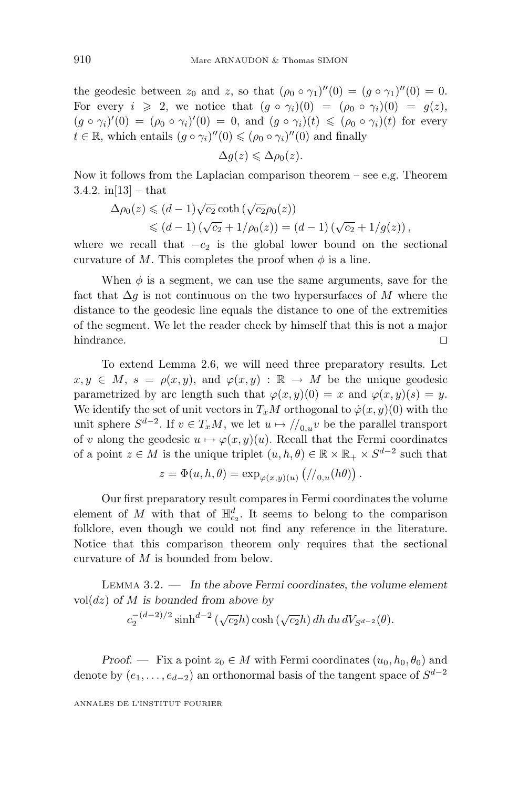the geodesic between  $z_0$  and  $z$ , so that  $(\rho_0 \circ \gamma_1)''(0) = (q \circ \gamma_1)''(0) = 0$ . For every  $i \ge 2$ , we notice that  $(g \circ \gamma_i)(0) = (\rho_0 \circ \gamma_i)(0) = g(z)$ ,  $(g \circ \gamma_i)'(0) = (\rho_0 \circ \gamma_i)'(0) = 0$ , and  $(g \circ \gamma_i)(t) \leq (\rho_0 \circ \gamma_i)(t)$  for every  $t \in \mathbb{R}$ , which entails  $(g \circ \gamma_i)''(0) \leq (\rho_0 \circ \gamma_i)''(0)$  and finally

$$
\Delta g(z) \leqslant \Delta \rho_0(z).
$$

Now it follows from the Laplacian comparison theorem – see e.g. Theorem 3.4.2.  $\text{in}[13] - \text{that}$ 

$$
\Delta \rho_0(z) \leq (d-1)\sqrt{c_2} \coth(\sqrt{c_2}\rho_0(z))
$$
  
 
$$
\leq (d-1)(\sqrt{c_2} + 1/\rho_0(z)) = (d-1)(\sqrt{c_2} + 1/g(z)),
$$

where we recall that  $-c_2$  is the global lower bound on the sectional curvature of *M*. This completes the proof when  $\phi$  is a line.

When  $\phi$  is a segment, we can use the same arguments, save for the fact that ∆*g* is not continuous on the two hypersurfaces of *M* where the distance to the geodesic line equals the distance to one of the extremities of the segment. We let the reader check by himself that this is not a major hindrance.  $\square$ 

To extend Lemma 2.6, we will need three preparatory results. Let  $x, y \in M$ ,  $s = \rho(x, y)$ , and  $\varphi(x, y) : \mathbb{R} \to M$  be the unique geodesic parametrized by arc length such that  $\varphi(x, y)(0) = x$  and  $\varphi(x, y)(s) = y$ . We identify the set of unit vectors in  $T_xM$  orthogonal to  $\dot{\varphi}(x, y)(0)$  with the unit sphere  $S^{d-2}$ . If  $v \in T_xM$ , we let  $u \mapsto \frac{1}{u \cdot v}$  be the parallel transport of *v* along the geodesic  $u \mapsto \varphi(x, y)(u)$ . Recall that the Fermi coordinates of a point  $z \in M$  is the unique triplet  $(u, h, \theta) \in \mathbb{R} \times \mathbb{R}_+ \times S^{d-2}$  such that

$$
z = \Phi(u, h, \theta) = \exp_{\varphi(x, y)(u)} (//_{0, u}(h\theta)).
$$

Our first preparatory result compares in Fermi coordinates the volume element of *M* with that of  $\mathbb{H}_{c_2}^d$ . It seems to belong to the comparison folklore, even though we could not find any reference in the literature. Notice that this comparison theorem only requires that the sectional curvature of *M* is bounded from below.

Lemma 3.2. — *In the above Fermi coordinates, the volume element* vol(*dz*) *of M is bounded from above by*

$$
c_2^{-(d-2)/2}\sinh^{d-2}(\sqrt{c_2}h)\cosh(\sqrt{c_2}h)dh\,du\,dV_{S^{d-2}}(\theta).
$$

*Proof.* — Fix a point  $z_0 \in M$  with Fermi coordinates  $(u_0, h_0, \theta_0)$  and denote by  $(e_1, \ldots, e_{d-2})$  an orthonormal basis of the tangent space of  $S^{d-2}$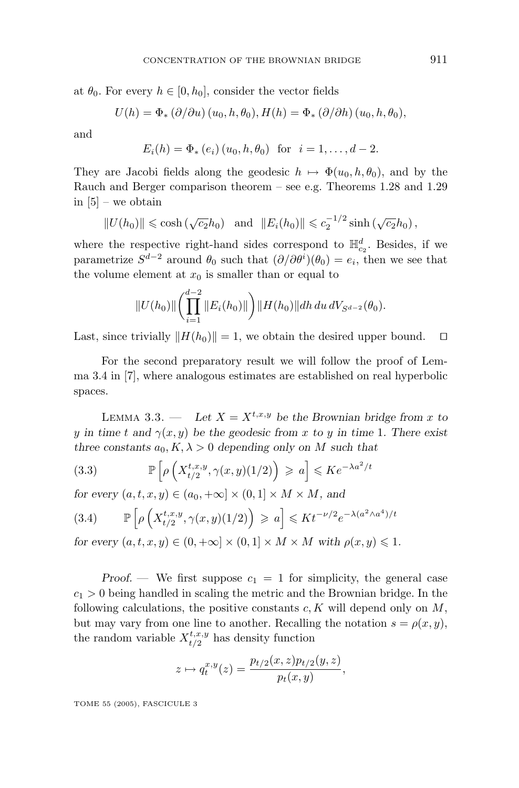at  $\theta_0$ . For every  $h \in [0, h_0]$ , consider the vector fields

$$
U(h) = \Phi_* (\partial/\partial u) (u_0, h, \theta_0), H(h) = \Phi_* (\partial/\partial h) (u_0, h, \theta_0),
$$

and

$$
E_i(h) = \Phi_*(e_i) (u_0, h, \theta_0)
$$
 for  $i = 1, ..., d - 2$ .

They are Jacobi fields along the geodesic  $h \mapsto \Phi(u_0, h, \theta_0)$ , and by the Rauch and Berger comparison theorem – see e.g. Theorems 1.28 and 1.29 in  $[5]$  – we obtain

$$
||U(h_0)|| \le \cosh(\sqrt{c_2}h_0) \text{ and } ||E_i(h_0)|| \le c_2^{-1/2}\sinh(\sqrt{c_2}h_0),
$$

where the respective right-hand sides correspond to  $\mathbb{H}_{c_2}^d$ . Besides, if we parametrize  $S^{d-2}$  around  $\theta_0$  such that  $(\partial/\partial \theta^i)(\theta_0) = e_i$ , then we see that the volume element at  $x_0$  is smaller than or equal to

$$
||U(h_0)||\left(\prod_{i=1}^{d-2}||E_i(h_0)||\right)||H(h_0)||dh\,du\,dV_{S^{d-2}}(\theta_0).
$$

Last, since trivially  $||H(h_0)|| = 1$ , we obtain the desired upper bound.  $\square$ 

For the second preparatory result we will follow the proof of Lemma 3.4 in [7], where analogous estimates are established on real hyperbolic spaces.

LEMMA 3.3. — Let  $X = X^{t,x,y}$  be the Brownian bridge from *x* to *y* in time *t* and  $\gamma(x, y)$  be the geodesic from *x* to *y* in time 1. There exist *three constants*  $a_0, K, \lambda > 0$  *depending only on M such that* 

(3.3) 
$$
\mathbb{P}\left[\rho\left(X_{t/2}^{t,x,y},\gamma(x,y)(1/2)\right) \geqslant a\right] \leqslant Ke^{-\lambda a^2/t}
$$

*for every*  $(a, t, x, y) \in (a_0, +\infty] \times (0, 1] \times M \times M$ , and

$$
(3.4) \qquad \mathbb{P}\left[\rho\left(X_{t/2}^{t,x,y}, \gamma(x,y)(1/2)\right) \geqslant a\right] \leqslant K t^{-\nu/2} e^{-\lambda(a^2 \wedge a^4)/t}
$$

*for every*  $(a, t, x, y) \in (0, +\infty] \times (0, 1] \times M \times M$  with  $\rho(x, y) \leq 1$ .

*Proof.* — We first suppose  $c_1 = 1$  for simplicity, the general case  $c_1 > 0$  being handled in scaling the metric and the Brownian bridge. In the following calculations, the positive constants *c, K* will depend only on *M*, but may vary from one line to another. Recalling the notation  $s = \rho(x, y)$ , the random variable  $X_{t/2}^{t,x,y}$  has density function

$$
z \mapsto q_t^{x,y}(z) = \frac{p_{t/2}(x, z)p_{t/2}(y, z)}{p_t(x, y)},
$$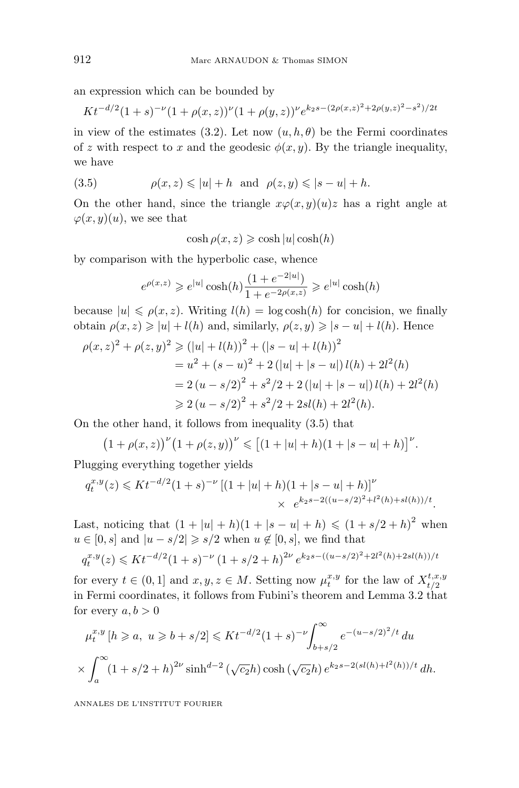an expression which can be bounded by

$$
Kt^{-d/2}(1+s)^{-\nu}(1+\rho(x,z))^{\nu}(1+\rho(y,z))^{\nu}e^{k_2s-(2\rho(x,z)^2+2\rho(y,z)^2-s^2)/2t}
$$

in view of the estimates (3.2). Let now  $(u, h, \theta)$  be the Fermi coordinates of *z* with respect to *x* and the geodesic  $\phi(x, y)$ . By the triangle inequality, we have

(3.5) 
$$
\rho(x, z) \leqslant |u| + h \text{ and } \rho(z, y) \leqslant |s - u| + h.
$$

On the other hand, since the triangle  $x\varphi(x,y)(u)z$  has a right angle at  $\varphi(x, y)(u)$ , we see that

 $\cosh \rho(x, z) \geqslant \cosh |u| \cosh(h)$ 

by comparison with the hyperbolic case, whence

$$
e^{\rho(x,z)} \ge e^{|u|} \cosh(h) \frac{(1 + e^{-2|u|})}{1 + e^{-2\rho(x,z)}} \ge e^{|u|} \cosh(h)
$$

because  $|u| \leqslant \rho(x, z)$ . Writing  $l(h) = \log \cosh(h)$  for concision, we finally obtain  $\rho(x, z) \geq |u| + l(h)$  and, similarly,  $\rho(z, y) \geq |s - u| + l(h)$ . Hence

$$
\rho(x, z)^2 + \rho(z, y)^2 \ge (|u| + l(h))^2 + (|s - u| + l(h))^2
$$
  
=  $u^2 + (s - u)^2 + 2(|u| + |s - u|)l(h) + 2l^2(h)$   
=  $2(u - s/2)^2 + s^2/2 + 2(|u| + |s - u|)l(h) + 2l^2(h)$   
 $\ge 2(u - s/2)^2 + s^2/2 + 2sl(h) + 2l^2(h).$ 

On the other hand, it follows from inequality (3.5) that

$$
(1 + \rho(x, z))^{v} (1 + \rho(z, y))^{v} \le [(1 + |u| + h)(1 + |s - u| + h)]^{v}.
$$

Plugging everything together yields

$$
q_t^{x,y}(z) \leqslant K t^{-d/2} (1+s)^{-\nu} \left[ (1+|u|+h)(1+|s-u|+h) \right]^{\nu}
$$
  
 
$$
\times e^{k_2 s - 2((u-s/2)^2 + l^2(h) + sl(h))/t}.
$$

Last, noticing that  $(1 + |u| + h)(1 + |s - u| + h) \le (1 + s/2 + h)^2$  when  $u \in [0, s]$  and  $|u - s/2| \geqslant s/2$  when  $u \notin [0, s]$ , we find that

$$
q_t^{x,y}(z) \leqslant K t^{-d/2} (1+s)^{-\nu} (1+s/2+h)^{2\nu} e^{k_2 s - ((u-s/2)^2 + 2l^2(h) + 2sl(h))/t}
$$

for every  $t \in (0,1]$  and  $x, y, z \in M$ . Setting now  $\mu_t^{x,y}$  for the law of  $X_{t/2}^{t,x,y}$ in Fermi coordinates, it follows from Fubini's theorem and Lemma 3.2 that for every  $a, b > 0$ 

$$
\mu_t^{x,y}[h \ge a, \ u \ge b + s/2] \le Kt^{-d/2}(1+s)^{-\nu} \int_{b+s/2}^{\infty} e^{-(u-s/2)^2/t} du
$$
  
 
$$
\times \int_a^{\infty} (1+s/2+h)^{2\nu} \sinh^{d-2} (\sqrt{c_2}h) \cosh(\sqrt{c_2}h) e^{k_2s-2(sl(h)+l^2(h))/t} dh.
$$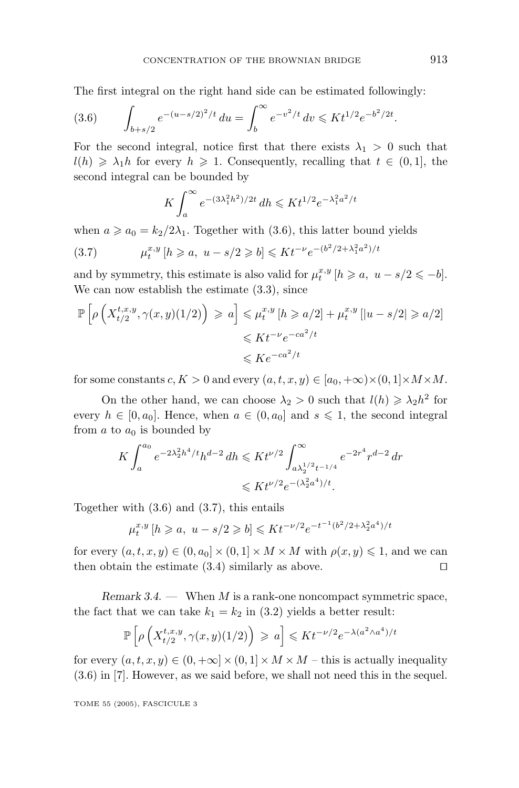The first integral on the right hand side can be estimated followingly:

$$
(3.6) \qquad \int_{b+s/2} e^{-(u-s/2)^2/t} \, du = \int_b^\infty e^{-v^2/t} \, dv \leqslant K t^{1/2} e^{-b^2/2t}.
$$

For the second integral, notice first that there exists  $\lambda_1 > 0$  such that  $l(h) \geq \lambda_1 h$  for every  $h \geq 1$ . Consequently, recalling that  $t \in (0,1]$ , the second integral can be bounded by

$$
K \int_{a}^{\infty} e^{-(3\lambda_{1}^{2}h^{2})/2t} \, dh \leqslant K t^{1/2} e^{-\lambda_{1}^{2}a^{2}/t}
$$

when  $a \ge a_0 = k_2/2\lambda_1$ . Together with (3.6), this latter bound yields

$$
(3.7) \t\t \mu_t^{x,y} \left[ h \ge a, \ u - s/2 \ge b \right] \le K t^{-\nu} e^{-(b^2/2 + \lambda_1^2 a^2)/t}
$$

and by symmetry, this estimate is also valid for  $\mu_t^{x,y}$  [ $h \ge a, u - s/2 \le -b$ ]. We can now establish the estimate  $(3.3)$ , since

$$
\mathbb{P}\left[\rho\left(X_{t/2}^{t,x,y},\gamma(x,y)(1/2)\right) \geqslant a\right] \leqslant \mu_t^{x,y}\left[h \geqslant a/2\right] + \mu_t^{x,y}\left[|u - s/2| \geqslant a/2\right]
$$
  

$$
\leqslant K t^{-\nu} e^{-ca^2/t}
$$
  

$$
\leqslant K e^{-ca^2/t}
$$

for some constants  $c, K > 0$  and every  $(a, t, x, y) \in [a_0, +\infty) \times (0, 1] \times M \times M$ .

On the other hand, we can choose  $\lambda_2 > 0$  such that  $l(h) \geq \lambda_2 h^2$  for every  $h \in [0, a_0]$ . Hence, when  $a \in (0, a_0]$  and  $s \leq 1$ , the second integral from  $a$  to  $a_0$  is bounded by

$$
K \int_{a}^{a_0} e^{-2\lambda_2^2 h^4 / t} h^{d-2} \, dh \leqslant K t^{\nu/2} \int_{a\lambda_2^{1/2} t^{-1/4}}^{\infty} e^{-2r^4} r^{d-2} \, dr
$$
  

$$
\leqslant K t^{\nu/2} e^{-(\lambda_2^2 a^4) / t}.
$$

Together with (3.6) and (3.7), this entails

$$
\mu_t^{x,y}[h \ge a, \ u - s/2 \ge b] \le K t^{-\nu/2} e^{-t^{-1}(b^2/2 + \lambda_2^2 a^4)/t}
$$

for every  $(a, t, x, y) \in (0, a_0] \times (0, 1] \times M \times M$  with  $\rho(x, y) \leq 1$ , and we can then obtain the estimate  $(3.4)$  similarly as above.  $\square$ 

*Remark 3.4*. — When *M* is a rank-one noncompact symmetric space, the fact that we can take  $k_1 = k_2$  in (3.2) yields a better result:

$$
\mathbb{P}\left[\rho\left(X_{t/2}^{t,x,y},\gamma(x,y)(1/2)\right) \geqslant a\right] \leqslant K t^{-\nu/2} e^{-\lambda(a^2\wedge a^4)/t}
$$

for every  $(a, t, x, y) \in (0, +\infty] \times (0, 1] \times M \times M$  – this is actually inequality (3.6) in [7]. However, as we said before, we shall not need this in the sequel.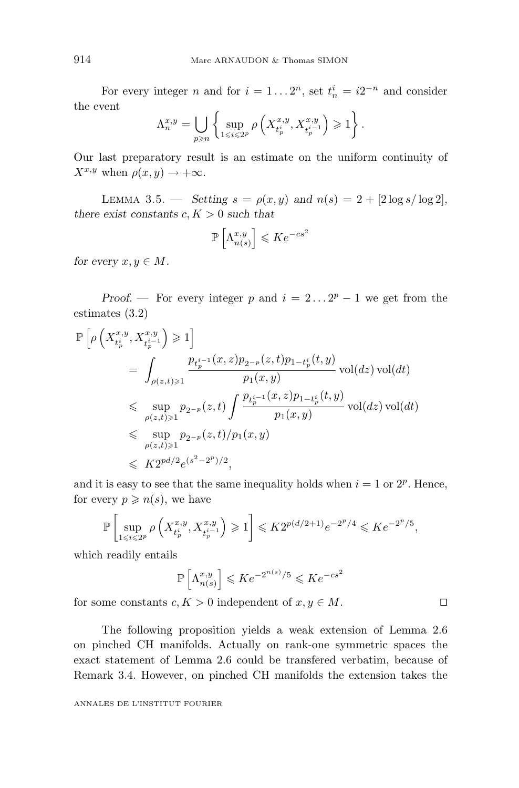For every integer *n* and for  $i = 1...2^n$ , set  $t_n^i = i2^{-n}$  and consider the event

$$
\Lambda_n^{x,y} = \bigcup_{p \geqslant n} \left\{ \sup_{1 \leqslant i \leqslant 2^p} \rho \left( X_{t_p^i}^{x,y}, X_{t_p^{i-1}}^{x,y} \right) \geqslant 1 \right\}.
$$

Our last preparatory result is an estimate on the uniform continuity of  $X^{x,y}$  when  $\rho(x,y) \rightarrow +\infty$ .

LEMMA 3.5. — *Setting*  $s = \rho(x, y)$  *and*  $n(s) = 2 + [2 \log s / \log 2]$ , *there exist constants*  $c, K > 0$  *such that* 

$$
\mathbb{P}\left[\Lambda_{n(s)}^{x,y}\right] \leqslant Ke^{-cs^2}
$$

*for every*  $x, y \in M$ *.* 

*Proof.* — For every integer *p* and  $i = 2...2^p - 1$  we get from the estimates (3.2)

$$
\mathbb{P}\left[\rho\left(X_{t_p^i}^{x,y}, X_{t_{p}^{i-1}}^{x,y}\right) \geqslant 1\right]
$$
\n
$$
= \int_{\rho(z,t)\geqslant 1} \frac{p_{t_p^{i-1}}(x,z)p_{2^{-p}}(z,t)p_{1-t_p^i}(t,y)}{p_1(x,y)} \operatorname{vol}(dz) \operatorname{vol}(dt)
$$
\n
$$
\leqslant \sup_{\rho(z,t)\geqslant 1} p_{2^{-p}}(z,t) \int \frac{p_{t_p^{i-1}}(x,z)p_{1-t_p^i}(t,y)}{p_1(x,y)} \operatorname{vol}(dz) \operatorname{vol}(dt)
$$
\n
$$
\leqslant \sup_{\rho(z,t)\geqslant 1} p_{2^{-p}}(z,t)/p_1(x,y)
$$
\n
$$
\leqslant K2^{pd/2} e^{(s^2-2^p)/2},
$$

and it is easy to see that the same inequality holds when  $i = 1$  or  $2^p$ . Hence, for every  $p \geqslant n(s)$ , we have

$$
\mathbb{P}\left[\sup_{1 \leq i \leq 2^p} \rho\left(X^{x,y}_{t^i_p}, X^{x,y}_{t^{i-1}_p}\right) \geq 1\right] \leqslant K 2^{p(d/2+1)} e^{-2^p/4} \leqslant K e^{-2^p/5},
$$

which readily entails

$$
\mathbb{P}\left[\Lambda_{n(s)}^{x,y}\right] \leqslant K e^{-2^{n(s)}/5} \leqslant K e^{-cs^2}
$$

for some constants  $c, K > 0$  independent of  $x, y \in M$ .

The following proposition yields a weak extension of Lemma 2.6 on pinched CH manifolds. Actually on rank-one symmetric spaces the exact statement of Lemma 2.6 could be transfered verbatim, because of Remark 3.4. However, on pinched CH manifolds the extension takes the

$$
\Box
$$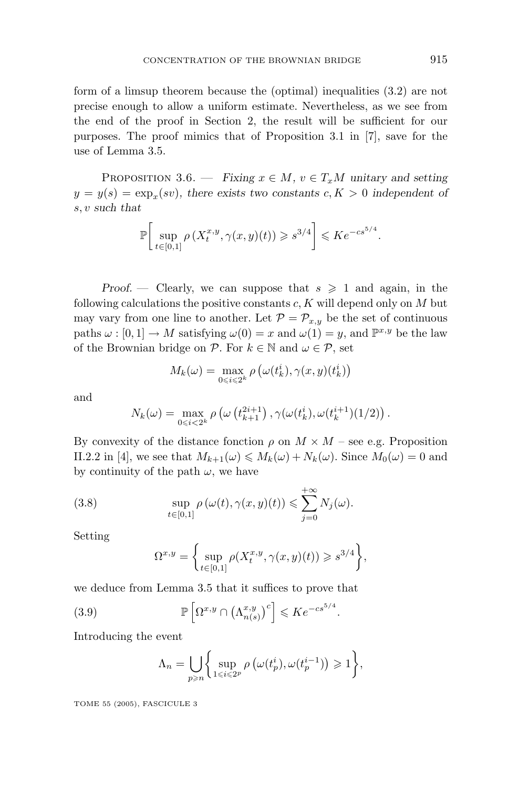form of a limsup theorem because the (optimal) inequalities (3.2) are not precise enough to allow a uniform estimate. Nevertheless, as we see from the end of the proof in Section 2, the result will be sufficient for our purposes. The proof mimics that of Proposition 3.1 in  $[7]$ , save for the use of Lemma 3.5.

PROPOSITION 3.6. — *Fixing*  $x \in M$ *,*  $v \in T_xM$  *unitary and setting*  $y = y(s) = \exp_x(sv)$ , there exists two constants  $c, K > 0$  independent of *s, v such that*

$$
\mathbb{P}\bigg[\sup_{t\in[0,1]}\rho\left(X_t^{x,y},\gamma(x,y)(t)\right)\geq s^{3/4}\bigg]\leqslant Ke^{-cs^{5/4}}.
$$

*Proof.* — Clearly, we can suppose that  $s \geq 1$  and again, in the following calculations the positive constants *c, K* will depend only on *M* but may vary from one line to another. Let  $P = P_{x,y}$  be the set of continuous paths  $\omega : [0, 1] \to M$  satisfying  $\omega(0) = x$  and  $\omega(1) = y$ , and  $\mathbb{P}^{x,y}$  be the law of the Brownian bridge on  $P$ . For  $k \in \mathbb{N}$  and  $\omega \in \mathcal{P}$ , set

$$
M_k(\omega) = \max_{0 \le i \le 2^k} \rho\left(\omega(t_k^i), \gamma(x, y)(t_k^i)\right)
$$

and

$$
N_k(\omega) = \max_{0 \le i < 2^k} \rho\left(\omega\left(t_{k+1}^{2i+1}\right), \gamma(\omega(t_k^i), \omega(t_k^{i+1})(1/2)\right).
$$

By convexity of the distance fonction  $\rho$  on  $M \times M$  – see e.g. Proposition II.2.2 in [4], we see that  $M_{k+1}(\omega) \leq M_k(\omega) + N_k(\omega)$ . Since  $M_0(\omega) = 0$  and by continuity of the path  $\omega$ , we have

(3.8) 
$$
\sup_{t\in[0,1]}\rho(\omega(t),\gamma(x,y)(t))\leqslant \sum_{j=0}^{+\infty}N_j(\omega).
$$

Setting

$$
\Omega^{x,y} = \left\{ \sup_{t \in [0,1]} \rho(X_t^{x,y}, \gamma(x,y)(t)) \geqslant s^{3/4} \right\},\
$$

we deduce from Lemma 3.5 that it suffices to prove that

(3.9) 
$$
\mathbb{P}\left[\Omega^{x,y}\cap\left(\Lambda^{x,y}_{n(s)}\right)^c\right] \leqslant Ke^{-cs^{5/4}}.
$$

Introducing the event

$$
\Lambda_n = \bigcup_{p \geqslant n} \biggl\{ \sup_{1 \leqslant i \leqslant 2^p} \rho \left( \omega(t_p^i), \omega(t_p^{i-1}) \right) \geqslant 1 \biggr\},\
$$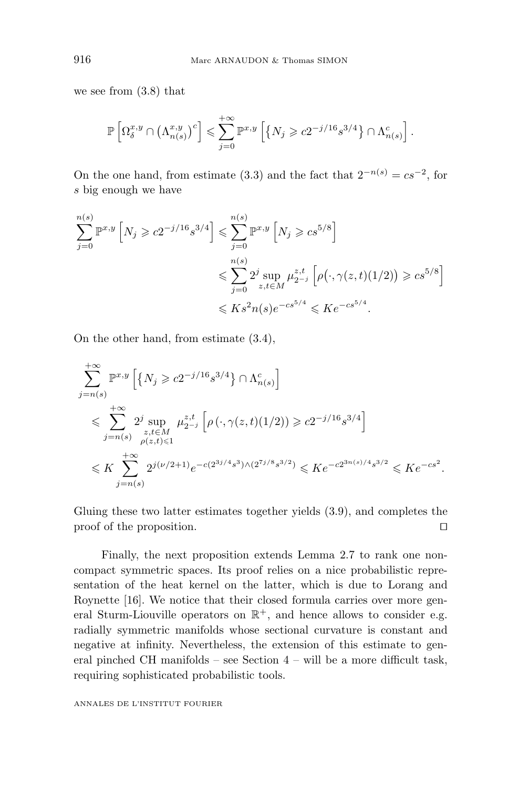we see from (3.8) that

$$
\mathbb{P}\left[\Omega^{x,y}_{\delta}\cap\left(\Lambda^{x,y}_{n(s)}\right)^c\right] \leqslant \sum_{j=0}^{+\infty} \mathbb{P}^{x,y}\left[\left\{N_j \geqslant c2^{-j/16}s^{3/4}\right\}\cap\Lambda^c_{n(s)}\right].
$$

On the one hand, from estimate (3.3) and the fact that  $2^{-n(s)} = cs^{-2}$ , for *s* big enough we have

$$
\sum_{j=0}^{n(s)} \mathbb{P}^{x,y} \left[ N_j \geq c2^{-j/16} s^{3/4} \right] \leq \sum_{j=0}^{n(s)} \mathbb{P}^{x,y} \left[ N_j \geq c s^{5/8} \right]
$$
  

$$
\leq \sum_{j=0}^{n(s)} 2^j \sup_{z,t \in M} \mu_{2^{-j}}^{z,t} \left[ \rho(\cdot, \gamma(z,t)(1/2)) \geq c s^{5/8} \right]
$$
  

$$
\leq K s^2 n(s) e^{-c s^{5/4}} \leq K e^{-c s^{5/4}}.
$$

On the other hand, from estimate (3.4),

$$
\sum_{j=n(s)}^{+\infty} \mathbb{P}^{x,y} \left[ \{ N_j \geqslant c2^{-j/16} s^{3/4} \} \cap \Lambda_{n(s)}^c \right]
$$
\n
$$
\leqslant \sum_{j=n(s)}^{+\infty} 2^j \sup_{\substack{z,t \in M \\ \rho(z,t) \leqslant 1}} \mu_{2^{-j}}^{z,t} \left[ \rho \left( \cdot, \gamma(z,t)(1/2) \right) \geqslant c2^{-j/16} s^{3/4} \right]
$$
\n
$$
\leqslant K \sum_{j=n(s)}^{+\infty} 2^{j(\nu/2+1)} e^{-c(2^{3j/4}s^3) \wedge (2^{7j/8} s^{3/2})} \leqslant K e^{-c2^{3n(s)/4} s^{3/2}} \leqslant K e^{-cs^2}.
$$

Gluing these two latter estimates together yields (3.9), and completes the proof of the proposition.

Finally, the next proposition extends Lemma 2.7 to rank one noncompact symmetric spaces. Its proof relies on a nice probabilistic representation of the heat kernel on the latter, which is due to Lorang and Roynette [16]. We notice that their closed formula carries over more general Sturm-Liouville operators on  $\mathbb{R}^+$ , and hence allows to consider e.g. radially symmetric manifolds whose sectional curvature is constant and negative at infinity. Nevertheless, the extension of this estimate to general pinched CH manifolds – see Section 4 – will be a more difficult task, requiring sophisticated probabilistic tools.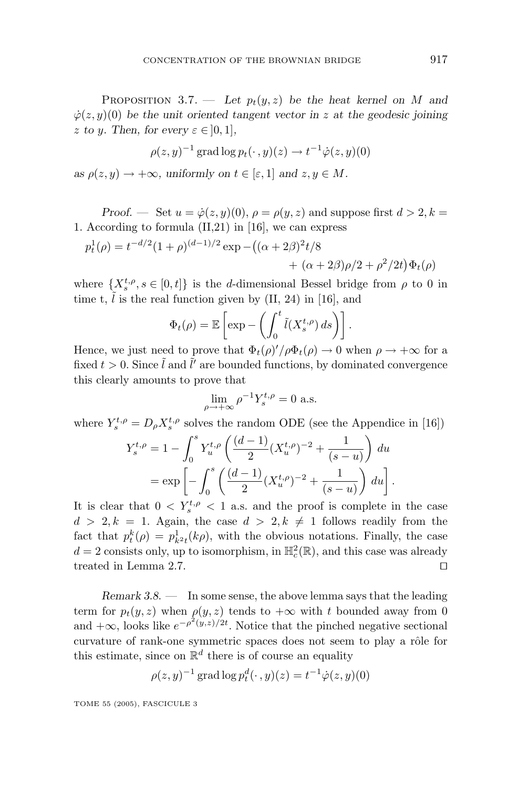PROPOSITION 3.7. — Let  $p_t(y, z)$  be the heat kernel on *M* and  $\dot{\varphi}(z, y)(0)$  *be the unit oriented tangent vector in z at the geodesic joining z to y.* Then, for every  $\varepsilon \in ]0,1]$ *,* 

$$
\rho(z, y)^{-1} \operatorname{grad} \log p_t(\cdot, y)(z) \to t^{-1} \dot{\varphi}(z, y)(0)
$$

*as*  $\rho(z, y) \to +\infty$ *, uniformly on*  $t \in [\varepsilon, 1]$  *and*  $z, y \in M$ *.* 

*Proof.* — Set  $u = \dot{\varphi}(z, y)(0)$ ,  $\rho = \rho(y, z)$  and suppose first  $d > 2, k =$ 1. According to formula (II,21) in [16], we can express

$$
p_t^1(\rho) = t^{-d/2} (1+\rho)^{(d-1)/2} \exp - \left( (\alpha + 2\beta)^2 t/8 + (\alpha + 2\beta)\rho/2 + \rho^2/2t \right) \Phi_t(\rho)
$$

where  $\{X_s^{t,\rho}, s \in [0,t]\}$  is the *d*-dimensional Bessel bridge from  $\rho$  to 0 in time t,  $\tilde{l}$  is the real function given by (II, 24) in [16], and

$$
\Phi_t(\rho) = \mathbb{E}\left[\exp - \left(\int_0^t \tilde{l}(X_s^{t,\rho}) ds\right)\right].
$$

Hence, we just need to prove that  $\Phi_t(\rho)'/\rho \Phi_t(\rho) \to 0$  when  $\rho \to +\infty$  for a fixed  $t > 0$ . Since  $\tilde{l}$  and  $\tilde{l}'$  are bounded functions, by dominated convergence this clearly amounts to prove that

$$
\lim_{\rho \to +\infty} \rho^{-1} Y_s^{t,\rho} = 0 \text{ a.s.}
$$

where  $Y_s^{t,\rho} = D_\rho X_s^{t,\rho}$  solves the random ODE (see the Appendice in [16])

$$
Y_s^{t,\rho} = 1 - \int_0^s Y_u^{t,\rho} \left( \frac{(d-1)}{2} (X_u^{t,\rho})^{-2} + \frac{1}{(s-u)} \right) du
$$
  
=  $\exp \left[ - \int_0^s \left( \frac{(d-1)}{2} (X_u^{t,\rho})^{-2} + \frac{1}{(s-u)} \right) du \right].$ 

It is clear that  $0 < Y_s^{t,\rho} < 1$  a.s. and the proof is complete in the case  $d > 2, k = 1$ . Again, the case  $d > 2, k \neq 1$  follows readily from the fact that  $p_t^k(\rho) = p_{k^2t}^1(k\rho)$ , with the obvious notations. Finally, the case  $d = 2$  consists only, up to isomorphism, in  $\mathbb{H}^2_c(\mathbb{R})$ , and this case was already treated in Lemma 2.7.

*Remark 3.8*. — In some sense, the above lemma says that the leading term for  $p_t(y, z)$  when  $\rho(y, z)$  tends to  $+\infty$  with *t* bounded away from 0 and  $+\infty$ , looks like  $e^{-\rho^2(y,z)/2t}$ . Notice that the pinched negative sectional curvature of rank-one symmetric spaces does not seem to play a rôle for this estimate, since on  $\mathbb{R}^d$  there is of course an equality

$$
\rho(z, y)^{-1} \operatorname{grad} \log p_t^d(\cdot, y)(z) = t^{-1} \dot{\varphi}(z, y)(0)
$$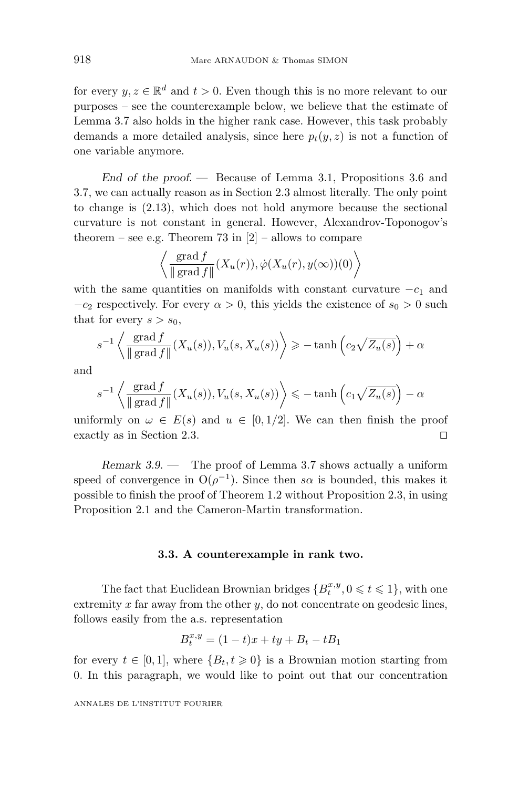for every  $y, z \in \mathbb{R}^d$  and  $t > 0$ . Even though this is no more relevant to our purposes – see the counterexample below, we believe that the estimate of Lemma 3.7 also holds in the higher rank case. However, this task probably demands a more detailed analysis, since here  $p_t(y, z)$  is not a function of one variable anymore.

*End of the proof*. — Because of Lemma 3.1, Propositions 3.6 and 3.7, we can actually reason as in Section 2.3 almost literally. The only point to change is (2.13), which does not hold anymore because the sectional curvature is not constant in general. However, Alexandrov-Toponogov's theorem – see e.g. Theorem 73 in  $[2]$  – allows to compare

$$
\left\langle \frac{\operatorname{grad} f}{\Vert \operatorname{grad} f \Vert} (X_u(r)), \dot{\varphi} (X_u(r), y(\infty))(0) \right\rangle
$$

with the same quantities on manifolds with constant curvature  $-c_1$  and  $-c_2$  respectively. For every  $\alpha > 0$ , this yields the existence of  $s_0 > 0$  such that for every  $s > s_0$ ,

$$
s^{-1}\left\langle \frac{\operatorname{grad} f}{\|\operatorname{grad} f\|}(X_u(s)), V_u(s, X_u(s)) \right\rangle \ge -\tanh\left(c_2\sqrt{Z_u(s)}\right) + \alpha
$$

and

$$
s^{-1}\left\langle\frac{\operatorname{grad} f}{\|\operatorname{grad} f\|}(X_u(s)), V_u(s,X_u(s))\right\rangle \leq -\tanh\left(c_1\sqrt{Z_u(s)}\right) - \alpha
$$

uniformly on  $\omega \in E(s)$  and  $u \in [0, 1/2]$ . We can then finish the proof exactly as in Section 2.3.

*Remark 3.9*. — The proof of Lemma 3.7 shows actually a uniform speed of convergence in  $O(\rho^{-1})$ . Since then *so* is bounded, this makes it possible to finish the proof of Theorem 1.2 without Proposition 2.3, in using Proposition 2.1and the Cameron-Martin transformation.

#### **3.3. A counterexample in rank two.**

The fact that Euclidean Brownian bridges  ${B_t^{x,y}, 0 \le t \le 1}$ , with one extremity *x* far away from the other *y*, do not concentrate on geodesic lines, follows easily from the a.s. representation

$$
B_t^{x,y} = (1-t)x + ty + B_t - tB_1
$$

for every  $t \in [0, 1]$ , where  $\{B_t, t \geq 0\}$  is a Brownian motion starting from 0. In this paragraph, we would like to point out that our concentration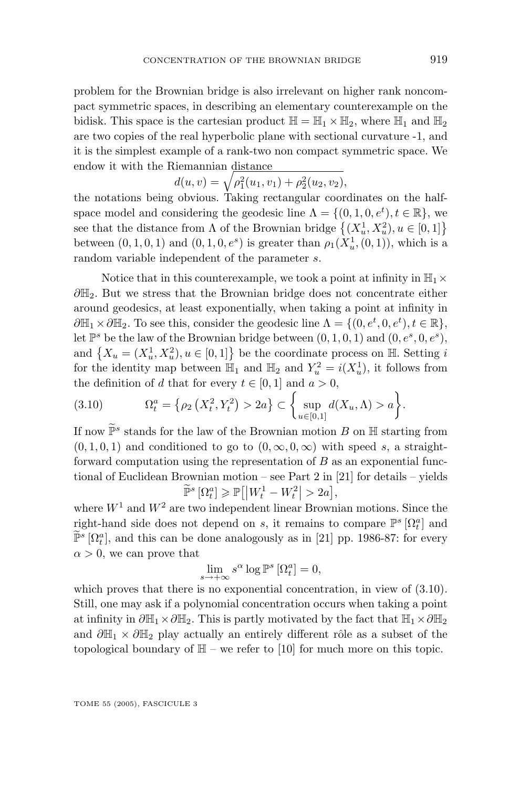problem for the Brownian bridge is also irrelevant on higher rank noncompact symmetric spaces, in describing an elementary counterexample on the bidisk. This space is the cartesian product  $\mathbb{H} = \mathbb{H}_1 \times \mathbb{H}_2$ , where  $\mathbb{H}_1$  and  $\mathbb{H}_2$ are two copies of the real hyperbolic plane with sectional curvature -1, and it is the simplest example of a rank-two non compact symmetric space. We endow it with the Riemannian distance

$$
d(u, v) = \sqrt{\rho_1^2(u_1, v_1) + \rho_2^2(u_2, v_2)},
$$

the notations being obvious. Taking rectangular coordinates on the halfspace model and considering the geodesic line  $\Lambda = \{(0, 1, 0, e^t), t \in \mathbb{R}\},\$ see that the distance from  $\Lambda$  of the Brownian bridge  $\{(X_u^1, X_u^2), u \in [0, 1]\}$ between  $(0, 1, 0, 1)$  and  $(0, 1, 0, e^s)$  is greater than  $\rho_1(X_u^1, (0, 1))$ , which is a random variable independent of the parameter *s*.

Notice that in this counterexample, we took a point at infinity in  $\mathbb{H}_1 \times$ *∂*H<sub>2</sub>. But we stress that the Brownian bridge does not concentrate either around geodesics, at least exponentially, when taking a point at infinity in  $\partial \mathbb{H}_1 \times \partial \mathbb{H}_2$ . To see this, consider the geodesic line  $\Lambda = \{(0, e^t, 0, e^t), t \in \mathbb{R}\},$ let  $\mathbb{P}^s$  be the law of the Brownian bridge between  $(0, 1, 0, 1)$  and  $(0, e^s, 0, e^s)$ , and  $\{X_u = (X_u^1, X_u^2), u \in [0, 1]\}$  be the coordinate process on  $\mathbb{H}$ . Setting *i* for the identity map between  $\mathbb{H}_1$  and  $\mathbb{H}_2$  and  $Y_u^2 = i(X_u^1)$ , it follows from the definition of *d* that for every  $t \in [0, 1]$  and  $a > 0$ ,

(3.10) 
$$
\Omega_t^a = \{ \rho_2(X_t^2, Y_t^2) > 2a \} \subset \left\{ \sup_{u \in [0,1]} d(X_u, \Lambda) > a \right\}.
$$

If now  $\mathbb{P}^s$  stands for the law of the Brownian motion *B* on  $\mathbb{H}$  starting from  $(0,1,0,1)$  and conditioned to go to  $(0,\infty,0,\infty)$  with speed *s*, a straightforward computation using the representation of *B* as an exponential functional of Euclidean Brownian motion – see Part 2 in [21] for details – yields  $\widetilde{\mathbb{P}}^s \left[ \Omega_t^a \right] \geqslant \mathbb{P} \left[ \left| W_t^1 - W_t^2 \right| > 2a \right],$ 

where  $W^1$  and  $W^2$  are two independent linear Brownian motions. Since the right-hand side does not depend on *s*, it remains to compare  $\mathbb{P}^s \left[ \Omega_t^a \right]$  and  $\widetilde{\mathbb{P}}^s$  [ $\Omega_t^a$ ], and this can be done analogously as in [21] pp. 1986-87: for every  $\alpha > 0$ , we can prove that

$$
\lim_{s \to +\infty} s^{\alpha} \log \mathbb{P}^s \left[ \Omega_t^a \right] = 0,
$$

which proves that there is no exponential concentration, in view of  $(3.10)$ . Still, one may ask if a polynomial concentration occurs when taking a point at infinity in  $\partial \mathbb{H}_1 \times \partial \mathbb{H}_2$ . This is partly motivated by the fact that  $\mathbb{H}_1 \times \partial \mathbb{H}_2$ and  $\partial \mathbb{H}_1 \times \partial \mathbb{H}_2$  play actually an entirely different rôle as a subset of the topological boundary of  $H$  – we refer to [10] for much more on this topic.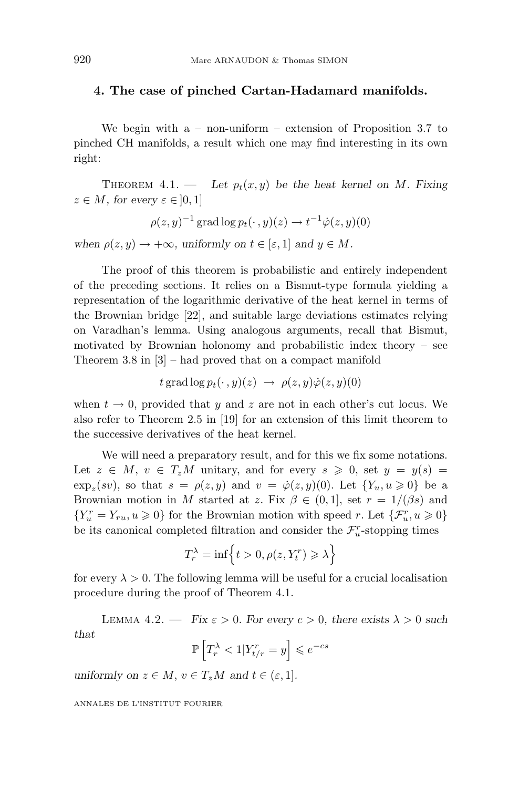#### **4. The case of pinched Cartan-Hadamard manifolds.**

We begin with  $a - non-uniform - extension of Proposition 3.7 to$ pinched CH manifolds, a result which one may find interesting in its own right:

THEOREM 4.1. — Let  $p_t(x, y)$  be the heat kernel on *M*. Fixing  $z \in M$ *, for every*  $\varepsilon \in ]0,1]$ 

$$
\rho(z,y)^{-1}\operatorname{grad}\log p_t(\cdot,y)(z) \to t^{-1}\dot{\varphi}(z,y)(0)
$$

*when*  $\rho(z, y) \to +\infty$ *, uniformly on*  $t \in [\varepsilon, 1]$  *and*  $y \in M$ *.* 

The proof of this theorem is probabilistic and entirely independent of the preceding sections. It relies on a Bismut-type formula yielding a representation of the logarithmic derivative of the heat kernel in terms of the Brownian bridge [22], and suitable large deviations estimates relying on Varadhan's lemma. Using analogous arguments, recall that Bismut, motivated by Brownian holonomy and probabilistic index theory – see Theorem 3.8 in [3] – had proved that on a compact manifold

$$
t \operatorname{grad} \log p_t(\cdot\,,y)(z) \,\,\rightarrow\,\, \rho(z,y) \dot{\varphi}(z,y)(0)
$$

when  $t \to 0$ , provided that *y* and *z* are not in each other's cut locus. We also refer to Theorem 2.5 in [19] for an extension of this limit theorem to the successive derivatives of the heat kernel.

We will need a preparatory result, and for this we fix some notations. Let  $z \in M$ ,  $v \in T_zM$  unitary, and for every  $s \geq 0$ , set  $y = y(s)$  $\exp_z(sv)$ , so that  $s = \rho(z, y)$  and  $v = \dot{\varphi}(z, y)(0)$ . Let  $\{Y_u, u \geq 0\}$  be a Brownian motion in *M* started at *z*. Fix  $\beta \in (0,1]$ , set  $r = 1/(\beta s)$  and  $\{Y_u^r=Y_{ru}, u\geqslant 0\}$  for the Brownian motion with speed  $r.$  Let  $\{\mathcal{F}^r_u, u\geqslant 0\}$ be its canonical completed filtration and consider the  $\mathcal{F}^r_u$ -stopping times

$$
T_r^{\lambda} = \inf \left\{ t > 0, \rho(z, Y_t^r) \geqslant \lambda \right\}
$$

for every  $\lambda > 0$ . The following lemma will be useful for a crucial localisation procedure during the proof of Theorem 4.1.

LEMMA 4.2. — *Fix*  $\varepsilon > 0$ *. For every*  $c > 0$ *, there exists*  $\lambda > 0$  *such that*

$$
\mathbb{P}\left[T_r^{\lambda} < 1 | Y_{t/r}^r = y\right] \leqslant e^{-cs}
$$

*uniformly on*  $z \in M$ ,  $v \in T_zM$  *and*  $t \in (\varepsilon, 1]$ *.*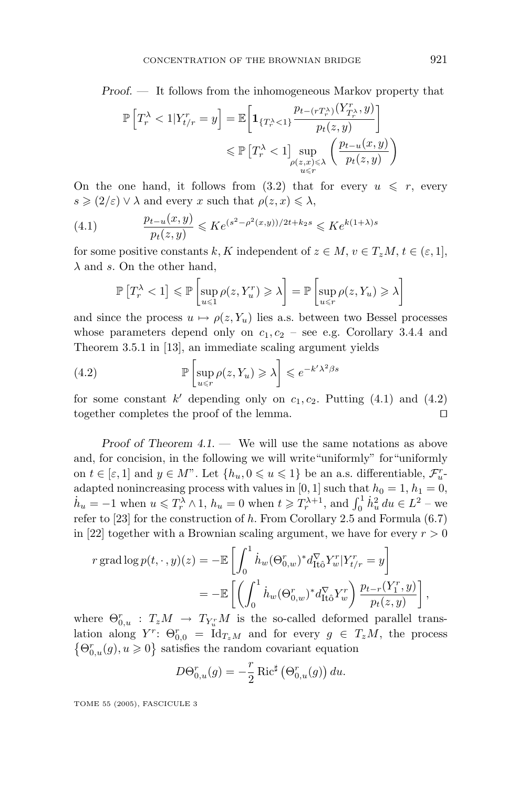*Proof. —* It follows from the inhomogeneous Markov property that

$$
\mathbb{P}\left[T_r^{\lambda} < 1 | Y_{t/r}^r = y\right] = \mathbb{E}\left[\mathbf{1}_{\{T_r^{\lambda} < 1\}} \frac{p_{t-(rT_r^{\lambda})}(Y_{T_r^{\lambda}}^r, y)}{p_t(z, y)}\right] \le \mathbb{P}\left[T_r^{\lambda} < 1\right] \sup_{\substack{\rho(z, x) \le \lambda \\ u \le r}} \left(\frac{p_{t-u}(x, y)}{p_t(z, y)}\right)
$$

On the one hand, it follows from  $(3.2)$  that for every  $u \leq r$ , every  $s \geqslant (2/\varepsilon) \vee \lambda$  and every *x* such that  $\rho(z, x) \leqslant \lambda$ ,

(4.1) 
$$
\frac{p_{t-u}(x,y)}{p_t(z,y)} \leqslant Ke^{(s^2-\rho^2(x,y))/2t+k_2s} \leqslant Ke^{k(1+\lambda)s}
$$

for some positive constants *k*, *K* independent of  $z \in M$ ,  $v \in T_zM$ ,  $t \in (\varepsilon, 1]$ , *λ* and *s*. On the other hand,

$$
\mathbb{P}\left[T_r^{\lambda} < 1\right] \leqslant \mathbb{P}\left[\sup_{u \leqslant 1} \rho(z, Y_u^r) \geqslant \lambda\right] = \mathbb{P}\left[\sup_{u \leqslant r} \rho(z, Y_u) \geqslant \lambda\right]
$$

and since the process  $u \mapsto \rho(z, Y_u)$  lies a.s. between two Bessel processes whose parameters depend only on  $c_1, c_2$  – see e.g. Corollary 3.4.4 and Theorem 3.5.1 in [13], an immediate scaling argument yields

(4.2) 
$$
\mathbb{P}\left[\sup_{u \leq r} \rho(z, Y_u) \geq \lambda\right] \leq e^{-k'\lambda^2\beta s}
$$

for some constant  $k'$  depending only on  $c_1, c_2$ . Putting  $(4.1)$  and  $(4.2)$ together completes the proof of the lemma.

*Proof of Theorem 4.1*. — We will use the same notations as above and, for concision, in the following we will write"uniformly" for"uniformly on  $t \in [\varepsilon, 1]$  and  $y \in M$ ". Let  $\{h_u, 0 \leq u \leq 1\}$  be an a.s. differentiable,  $\mathcal{F}_u^r$ adapted nonincreasing process with values in [0, 1] such that  $h_0 = 1$ ,  $h_1 = 0$ ,  $h_u = -1$  when  $u \leq T_r^{\lambda} \wedge 1$ ,  $h_u = 0$  when  $t \geq T_r^{\lambda+1}$ , and  $\int_0^1 h_u^2 du \in L^2$  – we refer to [23] for the construction of *h*. From Corollary 2.5 and Formula (6.7) in [22] together with a Brownian scaling argument, we have for every  $r > 0$ 

$$
r \operatorname{grad} \log p(t, \cdot, y)(z) = -\mathbb{E} \left[ \int_0^1 \dot{h}_w (\Theta_{0,w}^r)^* d_{\text{It}\hat{o}}^{\nabla} Y_w^r | Y_{t/r}^r = y \right]
$$
  

$$
= -\mathbb{E} \left[ \left( \int_0^1 \dot{h}_w (\Theta_{0,w}^r)^* d_{\text{It}\hat{o}}^{\nabla} Y_w^r \right) \frac{p_{t-r}(Y_1^r, y)}{p_t(z, y)} \right],
$$

where  $\Theta_{0,u}^r$  :  $T_zM \rightarrow T_{Y_u^r}M$  is the so-called deformed parallel translation along  $Y^r$ :  $\Theta_{0,0}^r = \text{Id}_{T_zM}$  and for every  $g \in T_zM$ , the process  $\{\Theta_{0,u}^r(g), u\geqslant 0\}$  satisfies the random covariant equation

$$
D\Theta_{0,u}^r(g) = -\frac{r}{2} \operatorname{Ric}^\sharp \left( \Theta_{0,u}^r(g) \right) du.
$$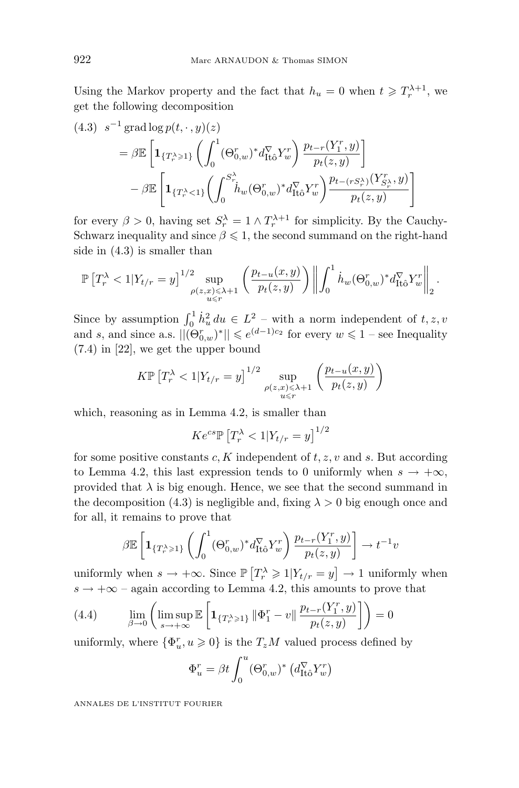Using the Markov property and the fact that  $h_u = 0$  when  $t \geq T_r^{\lambda+1}$ , we get the following decomposition

$$
(4.3) \quad s^{-1} \operatorname{grad} \log p(t, \cdot, y)(z)
$$
\n
$$
= \beta \mathbb{E} \left[ \mathbf{1}_{\{T_r^{\lambda} \geq 1\}} \left( \int_0^1 (\Theta_{0,w}^r)^* d_{\operatorname{It\hat{o}}}^{\nabla} Y_w^r \right) \frac{p_{t-r}(Y_1^r, y)}{p_t(z, y)} \right]
$$
\n
$$
- \beta \mathbb{E} \left[ \mathbf{1}_{\{T_r^{\lambda} < 1\}} \left( \int_0^{S_{r}^{\lambda}} \hat{h}_w(\Theta_{0,w}^r)^* d_{\operatorname{It\hat{o}}}^{\nabla} Y_w^r \right) \frac{p_{t-(rS_r^{\lambda})}(Y_{S_r^{\lambda}}, y)}{p_t(z, y)} \right]
$$

for every  $\beta > 0$ , having set  $S_r^{\lambda} = 1 \wedge T_r^{\lambda+1}$  for simplicity. By the Cauchy-Schwarz inequality and since  $\beta \leq 1$ , the second summand on the right-hand side in (4.3) is smaller than

$$
\mathbb{P}\left[T_r^{\lambda} < 1 | Y_{t/r} = y\right]^{1/2} \sup_{\substack{\rho(z,x) \leq \lambda + 1 \\ u \leq r}} \left( \frac{p_{t-u}(x,y)}{p_t(z,y)} \right) \left\| \int_0^1 \dot{h}_w(\Theta_{0,w}^r)^* d_{\text{It\^o}}^T Y_w^r \right\|_2.
$$

Since by assumption  $\int_0^1 \dot{h}_u^2 du \in L^2$  – with a norm independent of  $t, z, v$ and *s*, and since a.s.  $||(\Theta_{0,w}^r)^*|| \leq e^{(d-1)c_2}$  for every  $w \leq 1$  – see Inequality (7.4) in [22], we get the upper bound

$$
K\mathbb{P}\left[T_r^{\lambda} < 1 | Y_{t/r} = y\right]^{1/2} \sup_{\substack{\rho(z,x) \leq \lambda+1 \\ u \leq r}} \left(\frac{p_{t-u}(x,y)}{p_t(z,y)}\right)
$$

which, reasoning as in Lemma 4.2, is smaller than

$$
Ke^{cs}\mathbb{P}\left[T_r^{\lambda} < 1 | Y_{t/r} = y\right]^{1/2}
$$

for some positive constants *c, K* independent of *t, z, v* and *s*. But according to Lemma 4.2, this last expression tends to 0 uniformly when  $s \to +\infty$ , provided that  $\lambda$  is big enough. Hence, we see that the second summand in the decomposition (4.3) is negligible and, fixing  $\lambda > 0$  big enough once and for all, it remains to prove that

$$
\beta \mathbb{E}\left[\mathbf{1}_{\{T_r^\lambda\geqslant 1\}}\left(\int_0^1 (\Theta_{0,w}^r)^*d_{\operatorname{It\hat{o}}}^{\nabla}Y_w^r\right)\frac{p_{t-r}(Y_1^r,y)}{p_t(z,y)}\right]\to t^{-1}v
$$

uniformly when  $s \to +\infty$ . Since  $\mathbb{P}\left[T_r^{\lambda} \geq 1 | Y_{t/r} = y\right] \to 1$  uniformly when  $s \rightarrow +\infty$  – again according to Lemma 4.2, this amounts to prove that

(4.4) 
$$
\lim_{\beta \to 0} \left( \limsup_{s \to +\infty} \mathbb{E} \left[ \mathbf{1}_{\{T_r^{\lambda} \geq 1\}} \| \Phi_1^r - v \| \frac{p_{t-r}(Y_1^r, y)}{p_t(z, y)} \right] \right) = 0
$$

uniformly, where  $\{\Phi_u^r, u \geq 0\}$  is the  $T_zM$  valued process defined by

$$
\Phi_u^r = \beta t \int_0^u (\Theta_{0,w}^r)^* \left( d_{\text{It\^o} Y_w^r \right)
$$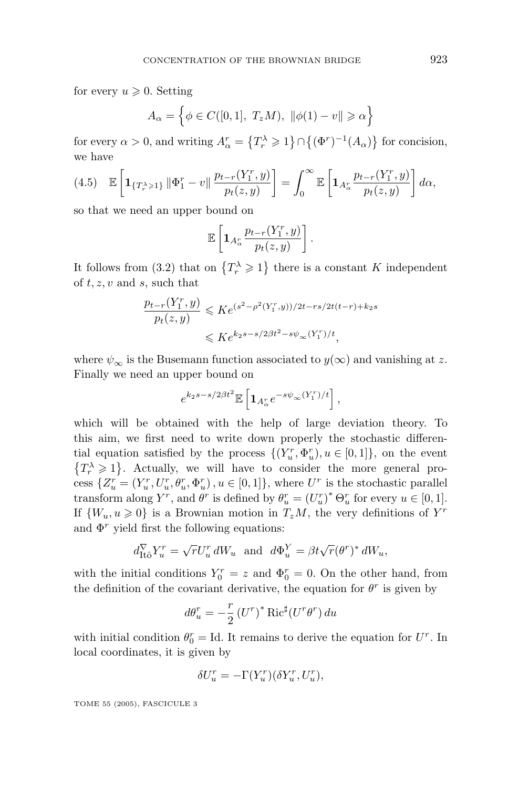for every  $u \geqslant 0$ . Setting

$$
A_{\alpha} = \left\{ \phi \in C([0,1], T_zM), \ \|\phi(1) - v\| \geq \alpha \right\}
$$

for every  $\alpha > 0$ , and writing  $A^r_\alpha = \{T_r^\lambda \geqslant 1\} \cap \{(\Phi^r)^{-1}(A_\alpha)\}\)$  for concision, we have

$$
(4.5) \mathbb{E}\left[\mathbf{1}_{\{T_r^{\lambda}\geqslant 1\}}\|\Phi_1^r-v\|\frac{p_{t-r}(Y_1^r,y)}{p_t(z,y)}\right]=\int_0^{\infty}\mathbb{E}\left[\mathbf{1}_{A_{\alpha}^r}\frac{p_{t-r}(Y_1^r,y)}{p_t(z,y)}\right]d\alpha,
$$

so that we need an upper bound on

$$
\mathbb{E}\left[\mathbf{1}_{A_{\alpha}^r}\frac{p_{t-r}(Y_1^r,y)}{p_t(z,y)}\right].
$$

It follows from (3.2) that on  $\{T_r^{\lambda} \geq 1\}$  there is a constant *K* independent of *t, z, v* and *s*, such that

$$
\frac{p_{t-r}(Y_1^r, y)}{p_t(z, y)} \leqslant Ke^{(s^2 - \rho^2(Y_1^r, y))/2t - rs/2t(t-r) + k_2s}
$$

$$
\leqslant Ke^{k_2s - s/2\beta t^2 - s\psi_{\infty}(Y_1^r)/t},
$$

where  $\psi_{\infty}$  is the Busemann function associated to  $y(\infty)$  and vanishing at *z*. Finally we need an upper bound on

$$
e^{k_2s-s/2\beta t^2}\mathbb{E}\left[\mathbf{1}_{A_\alpha^r}e^{-s\psi_\infty(Y_1^r)/t}\right],
$$

which will be obtained with the help of large deviation theory. To this aim, we first need to write down properly the stochastic differential equation satisfied by the process  $\{(Y_u^r, \Phi_u^r), u \in [0,1]\}$ , on the event  ${T_r \geq 1}$ . Actually, we will have to consider the more general process  $\{Z_u^r = (Y_u^r, U_u^r, \theta_u^r, \Phi_u^r), u \in [0, 1]\}$ , where  $U^r$  is the stochastic parallel transform along  $Y^r$ , and  $\theta^r$  is defined by  $\theta^r_u = (U^r_u)^* \Theta^r_u$  for every  $u \in [0, 1]$ . If  $\{W_u, u \geq 0\}$  is a Brownian motion in  $T_zM$ , the very definitions of  $Y^r$ and  $\Phi^r$  yield first the following equations:

$$
d_{\mathrm{It\hat{o}}}^{\nabla} Y_u^r = \sqrt{r} U_u^r dW_u \text{ and } d\Phi_u^Y = \beta t \sqrt{r} (\theta^r)^* dW_u,
$$

with the initial conditions  $Y_0^r = z$  and  $\Phi_0^r = 0$ . On the other hand, from the definition of the covariant derivative, the equation for  $\theta^r$  is given by

$$
d\theta_u^r = -\frac{r}{2} (U^r)^* \operatorname{Ric}^\sharp (U^r \theta^r) du
$$

with initial condition  $\theta_0^r = \text{Id}$ . It remains to derive the equation for  $U^r$ . In local coordinates, it is given by

$$
\delta U_u^r = -\Gamma(Y_u^r)(\delta Y_u^r, U_u^r),
$$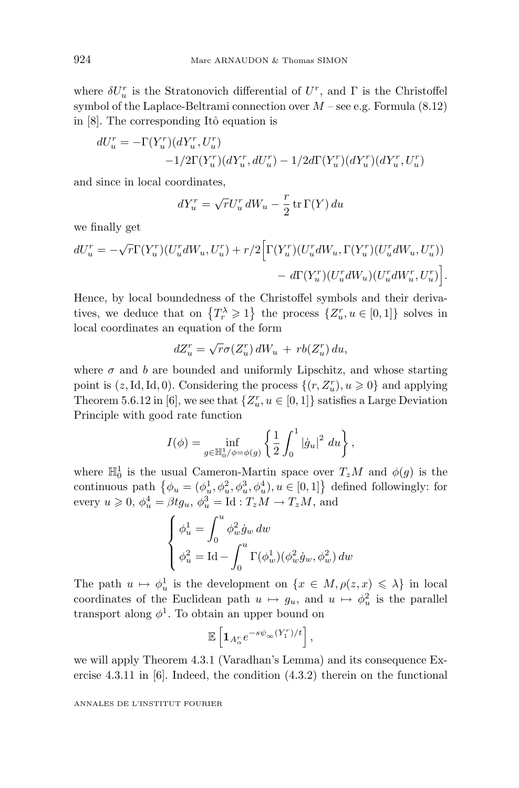where  $\delta U_u^r$  is the Stratonovich differential of  $U^r$ , and  $\Gamma$  is the Christoffel symbol of the Laplace-Beltrami connection over *M* – see e.g. Formula (8.12) in  $[8]$ . The corresponding Itô equation is

$$
dU_u^r = -\Gamma(Y_u^r)(dY_u^r, U_u^r) -1/2\Gamma(Y_u^r)(dY_u^r, dU_u^r) - 1/2d\Gamma(Y_u^r)(dY_u^r)(dY_u^r, U_u^r)
$$

and since in local coordinates,

$$
dY_u^r = \sqrt{r}U_u^r dW_u - \frac{r}{2} \operatorname{tr} \Gamma(Y) du
$$

we finally get

$$
dU_u^r = -\sqrt{r}\Gamma(Y_u^r)(U_u^r dW_u, U_u^r) + r/2 \Big[\Gamma(Y_u^r)(U_u^r dW_u, \Gamma(Y_u^r)(U_u^r dW_u, U_u^r)) - d\Gamma(Y_u^r)(U_u^r dW_u)(U_u^r dW_u^r, U_u^r)\Big].
$$

Hence, by local boundedness of the Christoffel symbols and their derivatives, we deduce that on  $\{T_r^{\lambda} \geq 1\}$  the process  $\{Z_u^r, u \in [0,1]\}$  solves in local coordinates an equation of the form

$$
dZ_u^r = \sqrt{r}\sigma(Z_u^r) dW_u + rb(Z_u^r) du,
$$

where  $\sigma$  and *b* are bounded and uniformly Lipschitz, and whose starting point is  $(z, Id, Id, 0)$ . Considering the process  $\{(r, Z_u^r), u \geq 0\}$  and applying Theorem 5.6.12 in [6], we see that  $\{Z_u^r, u \in [0,1]\}$  satisfies a Large Deviation Principle with good rate function

$$
I(\phi) = \inf_{g \in \mathbb{H}_0^1/\phi = \phi(g)} \left\{ \frac{1}{2} \int_0^1 |\dot{g}_u|^2 \ du \right\},\,
$$

where  $\mathbb{H}_0^1$  is the usual Cameron-Martin space over  $T_zM$  and  $\phi(g)$  is the continuous path  $\{\phi_u = (\phi_u^1, \phi_u^2, \phi_u^3, \phi_u^4), u \in [0, 1]\}$  defined followingly: for every  $u \ge 0$ ,  $\phi_u^4 = \beta t g_u$ ,  $\phi_u^3 = \text{Id} : T_z M \to T_z M$ , and

$$
\label{eq:phi} \begin{cases} \phi^1_u = \int_0^u \phi^2_w \dot{g}_w \, dw \\ \phi^2_u = \operatorname{Id} - \int_0^u \Gamma(\phi^1_w) (\phi^2_w \dot{g}_w, \phi^2_w) \, dw \end{cases}
$$

The path  $u \mapsto \phi_u^1$  is the development on  $\{x \in M, \rho(z, x) \leq \lambda\}$  in local coordinates of the Euclidean path  $u \mapsto g_u$ , and  $u \mapsto \phi_u^2$  is the parallel transport along  $\phi^1$ . To obtain an upper bound on

$$
\mathbb{E}\left[\mathbf{1}_{A_{\alpha}^{r}}e^{-s\psi_{\infty}(Y_{1}^{r})/t}\right],
$$

we will apply Theorem 4.3.1(Varadhan's Lemma) and its consequence Exercise 4.3.11 in [6]. Indeed, the condition (4.3.2) therein on the functional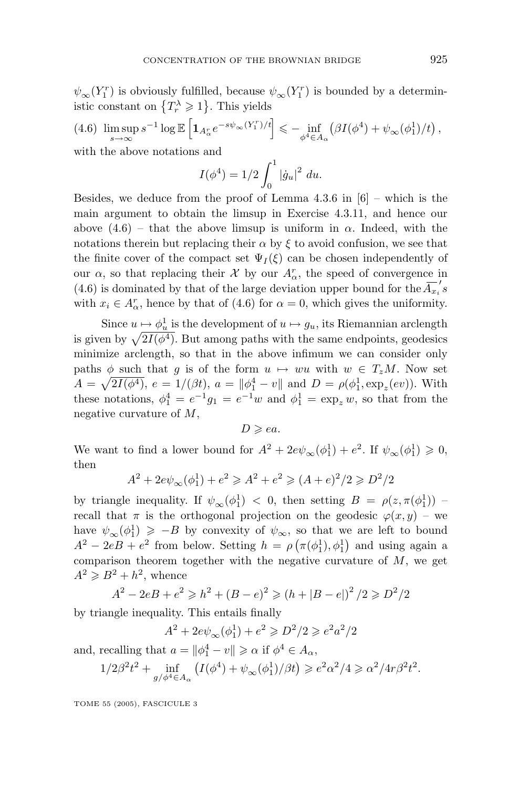$\psi_{\infty}(Y_1^r)$  is obviously fulfilled, because  $\psi_{\infty}(Y_1^r)$  is bounded by a deterministic constant on  $\{T_r^{\lambda} \geqslant 1\}$ . This yields

$$
(4.6)\ \limsup_{s\to\infty} s^{-1}\log\mathbb{E}\left[\mathbf{1}_{A_{\alpha}^r}e^{-s\psi_{\infty}(Y_1^r)/t}\right] \leqslant -\inf_{\phi^4\in A_{\alpha}}\left(\beta I(\phi^4) + \psi_{\infty}(\phi_1^1)/t\right),
$$

with the above notations and

$$
I(\phi^4) = 1/2 \int_0^1 |\dot{g}_u|^2 \ du.
$$

Besides, we deduce from the proof of Lemma 4.3.6 in  $[6]$  – which is the main argument to obtain the limsup in Exercise 4.3.11, and hence our above  $(4.6)$  – that the above limsup is uniform in  $\alpha$ . Indeed, with the notations therein but replacing their  $\alpha$  by  $\xi$  to avoid confusion, we see that the finite cover of the compact set  $\Psi_I(\xi)$  can be chosen independently of our  $\alpha$ , so that replacing their  $\mathcal{X}$  by our  $A^r_\alpha$ , the speed of convergence in (4.6) is dominated by that of the large deviation upper bound for the  $\overline{A_{x_i}}'$ with  $x_i \in A_{\alpha}^r$ , hence by that of (4.6) for  $\alpha = 0$ , which gives the uniformity.

Since  $u \mapsto \phi_u^1$  is the development of  $u \mapsto g_u$ , its Riemannian arclength is given by  $\sqrt{2I(\phi^4)}$ . But among paths with the same endpoints, geodesics minimize arclength, so that in the above infimum we can consider only paths  $\phi$  such that *g* is of the form  $u \mapsto wu$  with  $w \in T_zM$ . Now set *A* =  $\sqrt{2I(\phi^4)}$ ,  $e = 1/(\beta t)$ ,  $a = ||\phi_1^4 - v||$  and  $D = \rho(\phi_1^1, \exp_z(ev))$ . With these notations,  $\phi_1^4 = e^{-1}g_1 = e^{-1}w$  and  $\phi_1^1 = \exp_z w$ , so that from the negative curvature of *M*,

 $D \geqslant ea$ .

We want to find a lower bound for  $A^2 + 2e\psi_{\infty}(\phi_1^1) + e^2$ . If  $\psi_{\infty}(\phi_1^1) \geq 0$ , then

$$
A^{2} + 2e\psi_{\infty}(\phi_{1}^{1}) + e^{2} \geqslant A^{2} + e^{2} \geqslant (A + e)^{2}/2 \geqslant D^{2}/2
$$

by triangle inequality. If  $\psi_{\infty}(\phi_1^1) < 0$ , then setting  $B = \rho(z, \pi(\phi_1^1))$ recall that  $\pi$  is the orthogonal projection on the geodesic  $\varphi(x, y)$  – we have  $\psi_{\infty}(\phi_1^1) \geq -B$  by convexity of  $\psi_{\infty}$ , so that we are left to bound  $A^2 - 2eB + e^2$  from below. Setting  $h = \rho \left( \pi(\phi_1^1), \phi_1^1 \right)$  and using again a comparison theorem together with the negative curvature of *M*, we get  $A^2 \geq B^2 + h^2$ , whence

$$
A^{2} - 2eB + e^{2} \ge h^{2} + (B - e)^{2} \ge (h + |B - e|)^{2} / 2 \ge D^{2} / 2
$$

by triangle inequality. This entails finally

$$
A^{2} + 2e\psi_{\infty}(\phi_{1}^{1}) + e^{2} \ge D^{2}/2 \ge e^{2}a^{2}/2
$$

and, recalling that  $a = ||\phi_1^4 - v|| \ge \alpha$  if  $\phi^4 \in A_\alpha$ ,

$$
1/2\beta^2 t^2 + \inf_{g/\phi^4 \in A_\alpha} \left( I(\phi^4) + \psi_\infty(\phi_1^1)/\beta t \right) \geq e^2 \alpha^2/4 \geq \alpha^2/4r\beta^2 t^2.
$$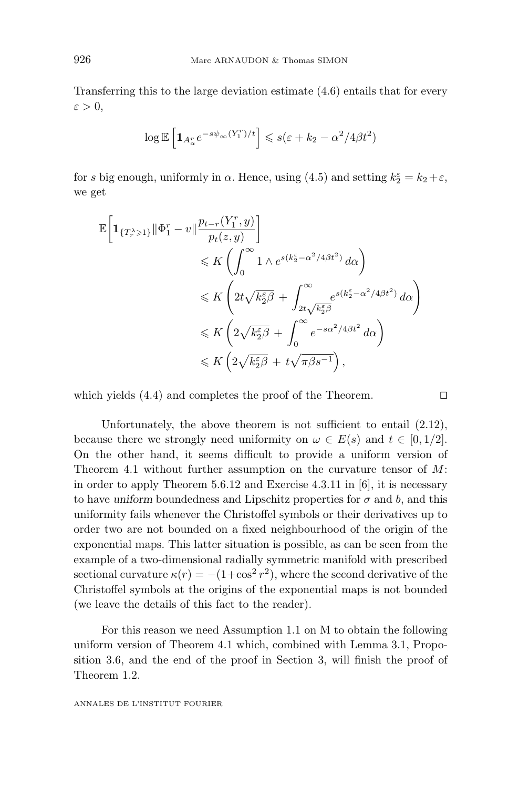Transferring this to the large deviation estimate (4.6) entails that for every  $\varepsilon > 0$ ,

$$
\log \mathbb{E}\left[\mathbf{1}_{A_{\alpha}^{r}}e^{-s\psi_{\infty}(Y_{1}^{r})/t}\right] \leqslant s(\varepsilon + k_{2} - \alpha^{2}/4\beta t^{2})
$$

for *s* big enough, uniformly in  $\alpha$ . Hence, using (4.5) and setting  $k_2^{\varepsilon} = k_2 + \varepsilon$ , we get

$$
\mathbb{E}\left[\mathbf{1}_{\{T_r^\lambda\geqslant 1\}}\|\Phi_1^r-v\|\frac{p_{t-r}(Y_1^r,y)}{p_t(z,y)}\right] \leqslant K\left(\int_0^\infty 1\wedge e^{s(k_2^\varepsilon-\alpha^2/4\beta t^2)}\,d\alpha\right) \leqslant K\left(2t\sqrt{k_2^\varepsilon\beta}+\int_{2t\sqrt{k_2^\varepsilon\beta}}^\infty e^{s(k_2^\varepsilon-\alpha^2/4\beta t^2)}\,d\alpha\right) \leqslant K\left(2\sqrt{k_2^\varepsilon\beta}+\int_0^\infty e^{-s\alpha^2/4\beta t^2}\,d\alpha\right) \leqslant K\left(2\sqrt{k_2^\varepsilon\beta}+t\sqrt{\pi\beta s^{-1}}\right),
$$

which yields (4.4) and completes the proof of the Theorem.

Unfortunately, the above theorem is not sufficient to entail (2.12), because there we strongly need uniformity on  $\omega \in E(s)$  and  $t \in [0, 1/2]$ . On the other hand, it seems difficult to provide a uniform version of Theorem 4.1without further assumption on the curvature tensor of *M*: in order to apply Theorem 5.6.12 and Exercise 4.3.11 in [6], it is necessary to have *uniform* boundedness and Lipschitz properties for  $\sigma$  and  $b$ , and this uniformity fails whenever the Christoffel symbols or their derivatives up to order two are not bounded on a fixed neighbourhood of the origin of the exponential maps. This latter situation is possible, as can be seen from the example of a two-dimensional radially symmetric manifold with prescribed sectional curvature  $\kappa(r) = -(1+\cos^2 r^2)$ , where the second derivative of the Christoffel symbols at the origins of the exponential maps is not bounded (we leave the details of this fact to the reader).

For this reason we need Assumption 1.1 on M to obtain the following uniform version of Theorem 4.1which, combined with Lemma 3.1, Proposition 3.6, and the end of the proof in Section 3, will finish the proof of Theorem 1.2.

$$
\Box
$$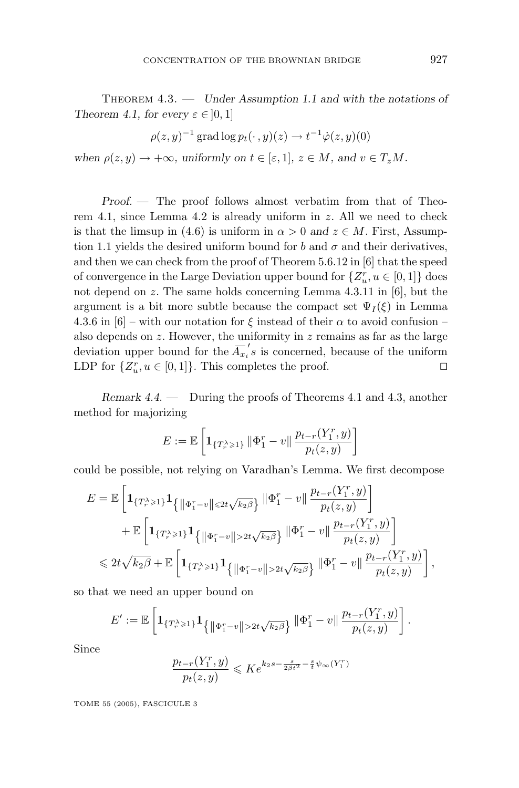Theorem 4.3. — *Under Assumption 1.1 and with the notations of Theorem 4.1, for every*  $\varepsilon \in [0, 1]$ 

$$
\rho(z, y)^{-1} \operatorname{grad} \log p_t(\cdot, y)(z) \to t^{-1} \dot{\varphi}(z, y)(0)
$$

*when*  $\rho(z, y) \to +\infty$ *, uniformly on*  $t \in [\varepsilon, 1], z \in M$ *, and*  $v \in T_zM$ *.* 

*Proof. —* The proof follows almost verbatim from that of Theorem 4.1, since Lemma 4.2 is already uniform in *z*. All we need to check is that the limsup in (4.6) is uniform in  $\alpha > 0$  and  $z \in M$ . First, Assumption 1.1 yields the desired uniform bound for *b* and  $\sigma$  and their derivatives, and then we can check from the proof of Theorem 5.6.12 in [6] that the speed of convergence in the Large Deviation upper bound for  $\{Z_u^r, u \in [0,1]\}$  does not depend on *z*. The same holds concerning Lemma 4.3.11 in [6], but the argument is a bit more subtle because the compact set  $\Psi_I(\xi)$  in Lemma 4.3.6 in [6] – with our notation for  $\xi$  instead of their  $\alpha$  to avoid confusion – also depends on *z*. However, the uniformity in *z* remains as far as the large deviation upper bound for the  $\overline{A_{x_i}}'s$  is concerned, because of the uniform LDP for  $\{Z_u^r, u \in [0,1]\}$ . This completes the proof.

*Remark 4.4*. — During the proofs of Theorems 4.1and 4.3, another method for majorizing

$$
E := \mathbb{E}\left[\mathbf{1}_{\{T_r^{\lambda} \geqslant 1\}}\left\|\Phi_1^r - v\right\| \frac{p_{t-r}(Y_1^r, y)}{p_t(z, y)}\right]
$$

could be possible, not relying on Varadhan's Lemma. We first decompose

$$
E = \mathbb{E}\left[\mathbf{1}_{\{T_r^{\lambda}\geqslant 1\}}\mathbf{1}_{\left\{\left\|\Phi_1^r-v\right\| \leqslant 2t\sqrt{k_2\beta}\right\}}\|\Phi_1^r-v\| \frac{p_{t-r}(Y_1^r,y)}{p_t(z,y)}\right] + \mathbb{E}\left[\mathbf{1}_{\{T_r^{\lambda}\geqslant 1\}}\mathbf{1}_{\left\{\left\|\Phi_1^r-v\right\|>2t\sqrt{k_2\beta}\right\}}\|\Phi_1^r-v\| \frac{p_{t-r}(Y_1^r,y)}{p_t(z,y)}\right] \leqslant 2t\sqrt{k_2\beta} + \mathbb{E}\left[\mathbf{1}_{\{T_r^{\lambda}\geqslant 1\}}\mathbf{1}_{\left\{\left\|\Phi_1^r-v\right\|>2t\sqrt{k_2\beta}\right\}}\|\Phi_1^r-v\| \frac{p_{t-r}(Y_1^r,y)}{p_t(z,y)}\right],
$$

so that we need an upper bound on

$$
E' := \mathbb{E}\left[\mathbf{1}_{\{T_r \geq 1\}}\mathbf{1}_{\{\|\Phi_1^r - v\| > 2t\sqrt{k_2\beta}\}}\|\Phi_1^r - v\| \frac{p_{t-r}(Y_1^r, y)}{p_t(z, y)}\right].
$$

Since

$$
\frac{p_{t-r}(Y_1^r, y)}{p_t(z, y)} \leqslant Ke^{k_2s - \frac{s}{2\beta t^2} - \frac{s}{t}\psi_{\infty}(Y_1^r)}
$$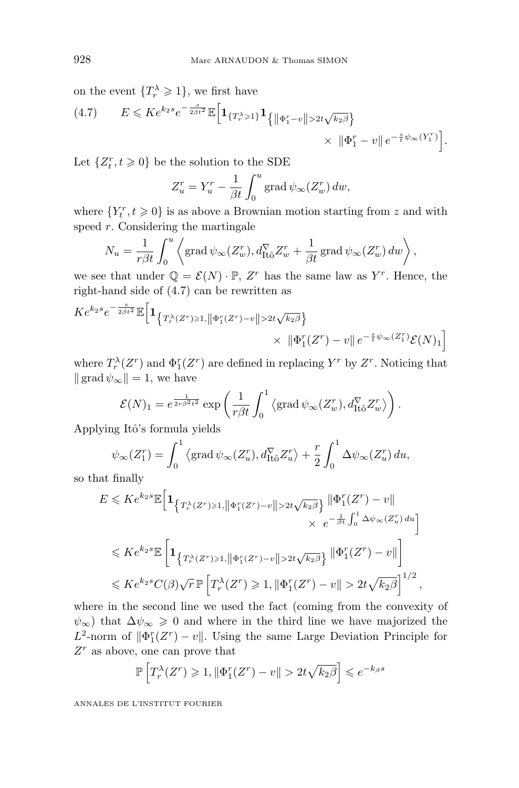on the event  $\{T_r^{\lambda} \geqslant 1\}$ , we first have

(4.7) 
$$
E \leqslant Ke^{k_2s}e^{-\frac{s}{2\beta t^2}}\mathbb{E}\Big[\mathbf{1}_{\{T_r^\lambda \geqslant 1\}}\mathbf{1}_{\{\|\Phi_1^r-v\| > 2t\sqrt{k_2\beta}\}}\times \|\Phi_1^r-v\|e^{-\frac{s}{t}\psi_\infty(Y_1^r)}\Big].
$$

Let  $\{Z_t^r, t \geq 0\}$  be the solution to the SDE

$$
Z_u^r = Y_u^r - \frac{1}{\beta t} \int_0^u \text{grad } \psi_\infty(Z_w^r) \, dw,
$$

where  $\{Y_t^r, t \geq 0\}$  is as above a Brownian motion starting from  $z$  and with speed *r*. Considering the martingale

$$
N_u = \frac{1}{r\beta t} \int_0^u \left\langle \text{grad}\,\psi_\infty(Z_w^r), d_{\text{It}\hat{o}}^\nabla Z_w^r + \frac{1}{\beta t} \,\text{grad}\,\psi_\infty(Z_w^r) \,dw \right\rangle,
$$

we see that under  $\mathbb{Q} = \mathcal{E}(N) \cdot \mathbb{P}$ ,  $Z^r$  has the same law as  $Y^r$ . Hence, the right-hand side of (4.7) can be rewritten as

$$
Ke^{k_2s}e^{-\frac{s}{2\beta t^2}}\mathbb{E}\Big[\mathbf{1}_{\left\{T_r^{\lambda}(Z^r)\geq 1, \left\|\Phi_1^r(Z^r)-v\right\|>2t\sqrt{k_2\beta}\right\}}\times \|\Phi_1^r(Z^r)-v\|e^{-\frac{s}{t}\psi_{\infty}(Z_1^r)}\mathcal{E}(N)_1\Big]
$$

where  $T_r^{\lambda}(Z^r)$  and  $\Phi_I^r(Z^r)$  are defined in replacing  $Y^r$  by  $Z^r$ . Noticing that  $\|\operatorname{grad} \psi_{\infty}\|=1$ , we have

$$
\mathcal{E}(N)_1 = e^{\frac{1}{2r\beta^2 t^2}} \exp\left(\frac{1}{r\beta t} \int_0^1 \left\langle \text{grad}\,\psi_\infty(Z_w^r), d_{\text{It}\hat{o}}^\nabla Z_w^r \right\rangle \right).
$$

Applying Itô's formula yields

$$
\psi_{\infty}(Z_1^r) = \int_0^1 \left\langle \text{grad}\,\psi_{\infty}(Z_u^r), d_{\text{It}\hat{\omega}}^{\nabla} Z_u^r \right\rangle + \frac{r}{2} \int_0^1 \Delta \psi_{\infty}(Z_u^r) \, du,
$$

so that finally

$$
E \leqslant Ke^{k_2s}\mathbb{E}\Big[\mathbf{1}_{\left\{T_r^{\lambda}(Z^r)\geqslant 1, \left\|\Phi_1^r(Z^r)-v\right\|>2t\sqrt{k_2\beta}\right\}}\frac{\|\Phi_1^r(Z^r)-v\|}{\times e^{-\frac{1}{\beta t}\int_0^1\Delta\psi_{\infty}(Z_u^r)\,du}}\Big]
$$
  

$$
\leqslant Ke^{k_2s}\mathbb{E}\Big[\mathbf{1}_{\left\{T_r^{\lambda}(Z^r)\geqslant 1, \left\|\Phi_1^r(Z^r)-v\right\|>2t\sqrt{k_2\beta}\right\}}\frac{\|\Phi_1^r(Z^r)-v\|}{\|\Phi_1^r(Z^r)-v\|}\Big]
$$
  

$$
\leqslant Ke^{k_2s}C(\beta)\sqrt{r}\,\mathbb{P}\Big[T_r^{\lambda}(Z^r)\geqslant 1, \|\Phi_1^r(Z^r)-v\|>2t\sqrt{k_2\beta}\Big]^{1/2},
$$

where in the second line we used the fact (coming from the convexity of  $\psi_{\infty}$ ) that  $\Delta \psi_{\infty} \geq 0$  and where in the third line we have majorized the  $L^2$ -norm of  $\|\Phi_I^r(Z^r) - v\|$ . Using the same Large Deviation Principle for *Z<sup>r</sup>* as above, one can prove that

$$
\mathbb{P}\left[T_r^{\lambda}(Z^r) \geq 1, \|\Phi_1^r(Z^r) - v\| > 2t\sqrt{k_2\beta}\right] \leqslant e^{-k_{\beta}s}
$$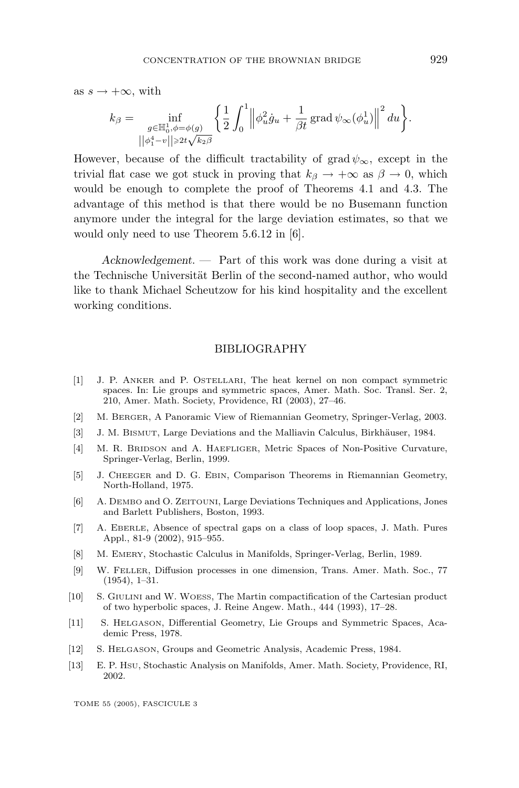as  $s \to +\infty$ , with

$$
k_{\beta} = \inf_{\substack{g \in \mathbb{H}_0^1, \phi = \phi(g) \\ ||\phi_1^4 - v|| \geq 2t\sqrt{k_2\beta}}} \left\{ \frac{1}{2} \int_0^1 \left\| \phi_u^2 \dot{g}_u + \frac{1}{\beta t} \operatorname{grad} \psi_\infty(\phi_u^1) \right\|^2 du \right\}.
$$

However, because of the difficult tractability of grad  $\psi_{\infty}$ , except in the trivial flat case we got stuck in proving that  $k_{\beta} \rightarrow +\infty$  as  $\beta \rightarrow 0$ , which would be enough to complete the proof of Theorems 4.1 and 4.3. The advantage of this method is that there would be no Busemann function anymore under the integral for the large deviation estimates, so that we would only need to use Theorem 5.6.12 in [6].

*Acknowledgement*. — Part of this work was done during a visit at the Technische Universität Berlin of the second-named author, who would like to thank Michael Scheutzow for his kind hospitality and the excellent working conditions.

#### BIBLIOGRAPHY

- [1] J. P. ANKER andP. OSTELLARI, The heat kernel on non compact symmetric spaces. In: Lie groups and symmetric spaces, Amer. Math. Soc. Transl. Ser. 2, 210, Amer. Math. Society, Providence, RI (2003), 27–46.
- [2] M. BERGER, A Panoramic View of Riemannian Geometry, Springer-Verlag, 2003.
- [3] J. M. BISMUT, Large Deviations and the Malliavin Calculus, Birkhäuser, 1984.
- [4] M. R. BRIDSON and A. HAEFLIGER, Metric Spaces of Non-Positive Curvature, Springer-Verlag, Berlin, 1999.
- [5] J. CHEEGER andD. G. EBIN, Comparison Theorems in Riemannian Geometry, North-Holland, 1975.
- [6] A. DEMBO andO. ZEITOUNI, Large Deviations Techniques andApplications, Jones and Barlett Publishers, Boston, 1993.
- [7] A. EBERLE, Absence of spectral gaps on a class of loop spaces, J. Math. Pures Appl., 81-9 (2002), 915–955.
- [8] M. EMERY, Stochastic Calculus in Manifolds, Springer-Verlag, Berlin, 1989.
- [9] W. FELLER, Diffusion processes in one dimension, Trans. Amer. Math. Soc., 77 (1954), 1–31.
- [10] S. GIULINI andW. WOESS, The Martin compactification of the Cartesian product of two hyperbolic spaces, J. Reine Angew. Math., 444 (1993), 17–28.
- [11] S. HELGASON, Differential Geometry, Lie Groups and Symmetric Spaces, Academic Press, 1978.
- [12] S. HELGASON, Groups and Geometric Analysis, Academic Press, 1984.
- [13] E. P. HSU, Stochastic Analysis on Manifolds, Amer. Math. Society, Providence, RI, 2002.